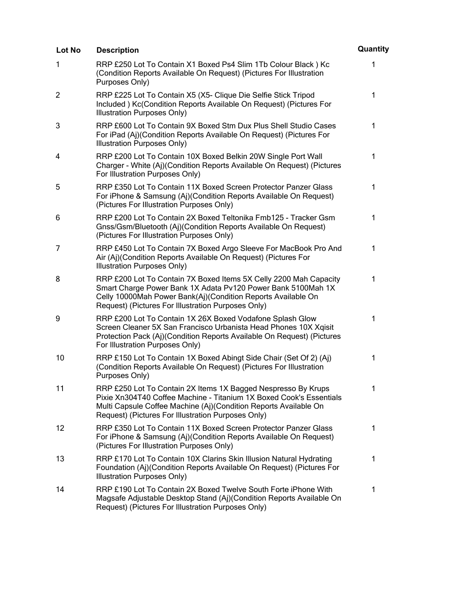| Lot No         | <b>Description</b>                                                                                                                                                                                                                                             | Quantity     |
|----------------|----------------------------------------------------------------------------------------------------------------------------------------------------------------------------------------------------------------------------------------------------------------|--------------|
| 1              | RRP £250 Lot To Contain X1 Boxed Ps4 Slim 1Tb Colour Black) Kc<br>(Condition Reports Available On Request) (Pictures For Illustration<br>Purposes Only)                                                                                                        | $\mathbf{1}$ |
| $\overline{2}$ | RRP £225 Lot To Contain X5 (X5- Clique Die Selfie Stick Tripod<br>Included) Kc(Condition Reports Available On Request) (Pictures For<br>Illustration Purposes Only)                                                                                            | $\mathbf 1$  |
| 3              | RRP £600 Lot To Contain 9X Boxed Stm Dux Plus Shell Studio Cases<br>For iPad (Aj)(Condition Reports Available On Request) (Pictures For<br>Illustration Purposes Only)                                                                                         | $\mathbf{1}$ |
| 4              | RRP £200 Lot To Contain 10X Boxed Belkin 20W Single Port Wall<br>Charger - White (Aj)(Condition Reports Available On Request) (Pictures<br>For Illustration Purposes Only)                                                                                     | $\mathbf 1$  |
| 5              | RRP £350 Lot To Contain 11X Boxed Screen Protector Panzer Glass<br>For iPhone & Samsung (Aj)(Condition Reports Available On Request)<br>(Pictures For Illustration Purposes Only)                                                                              | $\mathbf{1}$ |
| 6              | RRP £200 Lot To Contain 2X Boxed Teltonika Fmb125 - Tracker Gsm<br>Gnss/Gsm/Bluetooth (Aj)(Condition Reports Available On Request)<br>(Pictures For Illustration Purposes Only)                                                                                | $\mathbf{1}$ |
| 7              | RRP £450 Lot To Contain 7X Boxed Argo Sleeve For MacBook Pro And<br>Air (Aj)(Condition Reports Available On Request) (Pictures For<br>Illustration Purposes Only)                                                                                              | $\mathbf 1$  |
| 8              | RRP £200 Lot To Contain 7X Boxed Items 5X Celly 2200 Mah Capacity<br>Smart Charge Power Bank 1X Adata Pv120 Power Bank 5100Mah 1X<br>Celly 10000Mah Power Bank(Aj)(Condition Reports Available On<br>Request) (Pictures For Illustration Purposes Only)        | $\mathbf{1}$ |
| 9              | RRP £200 Lot To Contain 1X 26X Boxed Vodafone Splash Glow<br>Screen Cleaner 5X San Francisco Urbanista Head Phones 10X Xqisit<br>Protection Pack (Aj)(Condition Reports Available On Request) (Pictures<br>For Illustration Purposes Only)                     | $\mathbf 1$  |
| 10             | RRP £150 Lot To Contain 1X Boxed Abingt Side Chair (Set Of 2) (Aj)<br>(Condition Reports Available On Request) (Pictures For Illustration<br>Purposes Only)                                                                                                    | $\mathbf{1}$ |
| 11             | RRP £250 Lot To Contain 2X Items 1X Bagged Nespresso By Krups<br>Pixie Xn304T40 Coffee Machine - Titanium 1X Boxed Cook's Essentials<br>Multi Capsule Coffee Machine (Aj)(Condition Reports Available On<br>Request) (Pictures For Illustration Purposes Only) | 1            |
| 12             | RRP £350 Lot To Contain 11X Boxed Screen Protector Panzer Glass<br>For iPhone & Samsung (Aj)(Condition Reports Available On Request)<br>(Pictures For Illustration Purposes Only)                                                                              | $\mathbf 1$  |
| 13             | RRP £170 Lot To Contain 10X Clarins Skin Illusion Natural Hydrating<br>Foundation (Aj)(Condition Reports Available On Request) (Pictures For<br>Illustration Purposes Only)                                                                                    | $\mathbf 1$  |
| 14             | RRP £190 Lot To Contain 2X Boxed Twelve South Forte iPhone With<br>Magsafe Adjustable Desktop Stand (Aj)(Condition Reports Available On<br>Request) (Pictures For Illustration Purposes Only)                                                                  | $\mathbf 1$  |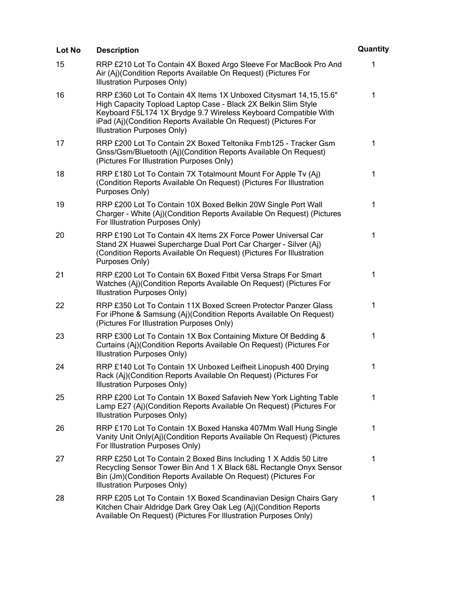| Lot No | <b>Description</b>                                                                                                                                                                                                                                                                                         | Quantity     |
|--------|------------------------------------------------------------------------------------------------------------------------------------------------------------------------------------------------------------------------------------------------------------------------------------------------------------|--------------|
| 15     | RRP £210 Lot To Contain 4X Boxed Argo Sleeve For MacBook Pro And<br>Air (Aj)(Condition Reports Available On Request) (Pictures For<br>Illustration Purposes Only)                                                                                                                                          | 1            |
| 16     | RRP £360 Lot To Contain 4X Items 1X Unboxed Citysmart 14, 15, 15.6"<br>High Capacity Topload Laptop Case - Black 2X Belkin Slim Style<br>Keyboard F5L174 1X Brydge 9.7 Wireless Keyboard Compatible With<br>iPad (Aj)(Condition Reports Available On Request) (Pictures For<br>Illustration Purposes Only) | $\mathbf 1$  |
| 17     | RRP £200 Lot To Contain 2X Boxed Teltonika Fmb125 - Tracker Gsm<br>Gnss/Gsm/Bluetooth (Aj)(Condition Reports Available On Request)<br>(Pictures For Illustration Purposes Only)                                                                                                                            | $\mathbf{1}$ |
| 18     | RRP £180 Lot To Contain 7X Totalmount Mount For Apple Tv (Aj)<br>(Condition Reports Available On Request) (Pictures For Illustration<br>Purposes Only)                                                                                                                                                     | $\mathbf 1$  |
| 19     | RRP £200 Lot To Contain 10X Boxed Belkin 20W Single Port Wall<br>Charger - White (Aj)(Condition Reports Available On Request) (Pictures<br>For Illustration Purposes Only)                                                                                                                                 | 1            |
| 20     | RRP £190 Lot To Contain 4X Items 2X Force Power Universal Car<br>Stand 2X Huawei Supercharge Dual Port Car Charger - Silver (Aj)<br>(Condition Reports Available On Request) (Pictures For Illustration<br>Purposes Only)                                                                                  | 1            |
| 21     | RRP £200 Lot To Contain 6X Boxed Fitbit Versa Straps For Smart<br>Watches (Aj)(Condition Reports Available On Request) (Pictures For<br>Illustration Purposes Only)                                                                                                                                        | 1            |
| 22     | RRP £350 Lot To Contain 11X Boxed Screen Protector Panzer Glass<br>For iPhone & Samsung (Aj)(Condition Reports Available On Request)<br>(Pictures For Illustration Purposes Only)                                                                                                                          | $\mathbf{1}$ |
| 23     | RRP £300 Lot To Contain 1X Box Containing Mixture Of Bedding &<br>Curtains (Aj)(Condition Reports Available On Request) (Pictures For<br>Illustration Purposes Only)                                                                                                                                       | 1            |
| 24     | RRP £140 Lot To Contain 1X Unboxed Leifheit Linopush 400 Drying<br>Rack (Aj)(Condition Reports Available On Request) (Pictures For<br>Illustration Purposes Only)                                                                                                                                          | 1            |
| 25     | RRP £200 Lot To Contain 1X Boxed Safavieh New York Lighting Table<br>Lamp E27 (Aj)(Condition Reports Available On Request) (Pictures For<br>Illustration Purposes Only)                                                                                                                                    | 1            |
| 26     | RRP £170 Lot To Contain 1X Boxed Hanska 407Mm Wall Hung Single<br>Vanity Unit Only(Aj)(Condition Reports Available On Request) (Pictures<br>For Illustration Purposes Only)                                                                                                                                | 1            |
| 27     | RRP £250 Lot To Contain 2 Boxed Bins Including 1 X Addis 50 Litre<br>Recycling Sensor Tower Bin And 1 X Black 68L Rectangle Onyx Sensor<br>Bin (Jm)(Condition Reports Available On Request) (Pictures For<br>Illustration Purposes Only)                                                                   | $\mathbf 1$  |
| 28     | RRP £205 Lot To Contain 1X Boxed Scandinavian Design Chairs Gary<br>Kitchen Chair Aldridge Dark Grey Oak Leg (Aj)(Condition Reports<br>Available On Request) (Pictures For Illustration Purposes Only)                                                                                                     | 1            |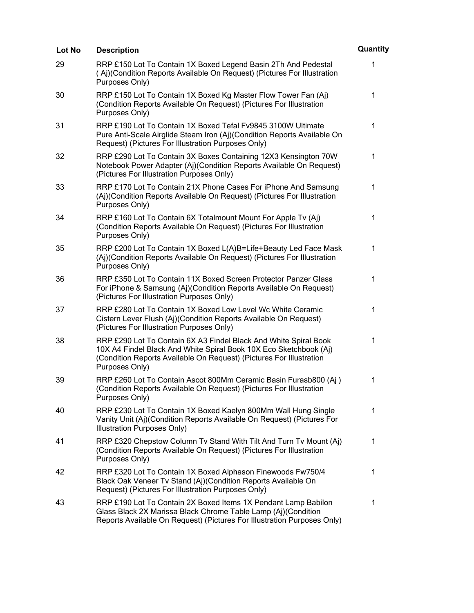| Lot No | <b>Description</b>                                                                                                                                                                                                             | Quantity    |
|--------|--------------------------------------------------------------------------------------------------------------------------------------------------------------------------------------------------------------------------------|-------------|
| 29     | RRP £150 Lot To Contain 1X Boxed Legend Basin 2Th And Pedestal<br>(Aj)(Condition Reports Available On Request) (Pictures For Illustration<br>Purposes Only)                                                                    | 1           |
| 30     | RRP £150 Lot To Contain 1X Boxed Kg Master Flow Tower Fan (Aj)<br>(Condition Reports Available On Request) (Pictures For Illustration<br>Purposes Only)                                                                        | 1           |
| 31     | RRP £190 Lot To Contain 1X Boxed Tefal Fv9845 3100W Ultimate<br>Pure Anti-Scale Airglide Steam Iron (Aj)(Condition Reports Available On<br>Request) (Pictures For Illustration Purposes Only)                                  | $\mathbf 1$ |
| 32     | RRP £290 Lot To Contain 3X Boxes Containing 12X3 Kensington 70W<br>Notebook Power Adapter (Aj)(Condition Reports Available On Request)<br>(Pictures For Illustration Purposes Only)                                            | 1           |
| 33     | RRP £170 Lot To Contain 21X Phone Cases For iPhone And Samsung<br>(Aj)(Condition Reports Available On Request) (Pictures For Illustration<br>Purposes Only)                                                                    | 1           |
| 34     | RRP £160 Lot To Contain 6X Totalmount Mount For Apple Tv (Aj)<br>(Condition Reports Available On Request) (Pictures For Illustration<br>Purposes Only)                                                                         | 1           |
| 35     | RRP £200 Lot To Contain 1X Boxed L(A)B=Life+Beauty Led Face Mask<br>(Aj)(Condition Reports Available On Request) (Pictures For Illustration<br>Purposes Only)                                                                  | 1           |
| 36     | RRP £350 Lot To Contain 11X Boxed Screen Protector Panzer Glass<br>For iPhone & Samsung (Aj)(Condition Reports Available On Request)<br>(Pictures For Illustration Purposes Only)                                              | 1           |
| 37     | RRP £280 Lot To Contain 1X Boxed Low Level Wc White Ceramic<br>Cistern Lever Flush (Aj)(Condition Reports Available On Request)<br>(Pictures For Illustration Purposes Only)                                                   | 1           |
| 38     | RRP £290 Lot To Contain 6X A3 Findel Black And White Spiral Book<br>10X A4 Findel Black And White Spiral Book 10X Eco Sketchbook (Aj)<br>(Condition Reports Available On Request) (Pictures For Illustration<br>Purposes Only) | 1           |
| 39     | RRP £260 Lot To Contain Ascot 800Mm Ceramic Basin Furasb800 (Aj)<br>(Condition Reports Available On Request) (Pictures For Illustration<br>Purposes Only)                                                                      | 1           |
| 40     | RRP £230 Lot To Contain 1X Boxed Kaelyn 800Mm Wall Hung Single<br>Vanity Unit (Aj)(Condition Reports Available On Request) (Pictures For<br>Illustration Purposes Only)                                                        | 1           |
| 41     | RRP £320 Chepstow Column Tv Stand With Tilt And Turn Tv Mount (Aj)<br>(Condition Reports Available On Request) (Pictures For Illustration<br>Purposes Only)                                                                    | 1           |
| 42     | RRP £320 Lot To Contain 1X Boxed Alphason Finewoods Fw750/4<br>Black Oak Veneer Tv Stand (Aj)(Condition Reports Available On<br>Request) (Pictures For Illustration Purposes Only)                                             | 1           |
| 43     | RRP £190 Lot To Contain 2X Boxed Items 1X Pendant Lamp Babilon<br>Glass Black 2X Marissa Black Chrome Table Lamp (Aj)(Condition<br>Reports Available On Request) (Pictures For Illustration Purposes Only)                     | 1           |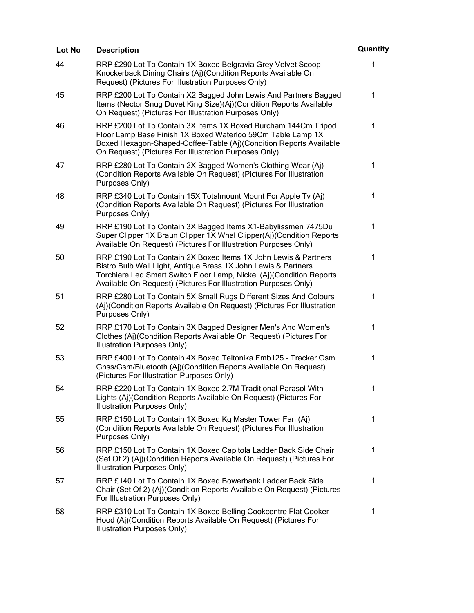| Lot No | <b>Description</b>                                                                                                                                                                                                                                                           | Quantity     |
|--------|------------------------------------------------------------------------------------------------------------------------------------------------------------------------------------------------------------------------------------------------------------------------------|--------------|
| 44     | RRP £290 Lot To Contain 1X Boxed Belgravia Grey Velvet Scoop<br>Knockerback Dining Chairs (Aj)(Condition Reports Available On<br>Request) (Pictures For Illustration Purposes Only)                                                                                          | 1            |
| 45     | RRP £200 Lot To Contain X2 Bagged John Lewis And Partners Bagged<br>Items (Nector Snug Duvet King Size)(Aj)(Condition Reports Available<br>On Request) (Pictures For Illustration Purposes Only)                                                                             | $\mathbf 1$  |
| 46     | RRP £200 Lot To Contain 3X Items 1X Boxed Burcham 144Cm Tripod<br>Floor Lamp Base Finish 1X Boxed Waterloo 59Cm Table Lamp 1X<br>Boxed Hexagon-Shaped-Coffee-Table (Aj)(Condition Reports Available<br>On Request) (Pictures For Illustration Purposes Only)                 | $\mathbf{1}$ |
| 47     | RRP £280 Lot To Contain 2X Bagged Women's Clothing Wear (Aj)<br>(Condition Reports Available On Request) (Pictures For Illustration<br>Purposes Only)                                                                                                                        | 1            |
| 48     | RRP £340 Lot To Contain 15X Totalmount Mount For Apple Tv (Aj)<br>(Condition Reports Available On Request) (Pictures For Illustration<br>Purposes Only)                                                                                                                      | 1            |
| 49     | RRP £190 Lot To Contain 3X Bagged Items X1-Babylissmen 7475Du<br>Super Clipper 1X Braun Clipper 1X Whal Clipper(Aj)(Condition Reports<br>Available On Request) (Pictures For Illustration Purposes Only)                                                                     | 1            |
| 50     | RRP £190 Lot To Contain 2X Boxed Items 1X John Lewis & Partners<br>Bistro Bulb Wall Light, Antique Brass 1X John Lewis & Partners<br>Torchiere Led Smart Switch Floor Lamp, Nickel (Aj)(Condition Reports<br>Available On Request) (Pictures For Illustration Purposes Only) | 1            |
| 51     | RRP £280 Lot To Contain 5X Small Rugs Different Sizes And Colours<br>(Aj)(Condition Reports Available On Request) (Pictures For Illustration<br>Purposes Only)                                                                                                               | 1            |
| 52     | RRP £170 Lot To Contain 3X Bagged Designer Men's And Women's<br>Clothes (Aj)(Condition Reports Available On Request) (Pictures For<br>Illustration Purposes Only)                                                                                                            | 1            |
| 53     | RRP £400 Lot To Contain 4X Boxed Teltonika Fmb125 - Tracker Gsm<br>Gnss/Gsm/Bluetooth (Aj)(Condition Reports Available On Request)<br>(Pictures For Illustration Purposes Only)                                                                                              | 1            |
| 54     | RRP £220 Lot To Contain 1X Boxed 2.7M Traditional Parasol With<br>Lights (Aj)(Condition Reports Available On Request) (Pictures For<br><b>Illustration Purposes Only)</b>                                                                                                    | 1            |
| 55     | RRP £150 Lot To Contain 1X Boxed Kg Master Tower Fan (Aj)<br>(Condition Reports Available On Request) (Pictures For Illustration<br>Purposes Only)                                                                                                                           | 1            |
| 56     | RRP £150 Lot To Contain 1X Boxed Capitola Ladder Back Side Chair<br>(Set Of 2) (Aj)(Condition Reports Available On Request) (Pictures For<br>Illustration Purposes Only)                                                                                                     | 1            |
| 57     | RRP £140 Lot To Contain 1X Boxed Bowerbank Ladder Back Side<br>Chair (Set Of 2) (Aj)(Condition Reports Available On Request) (Pictures<br>For Illustration Purposes Only)                                                                                                    | 1            |
| 58     | RRP £310 Lot To Contain 1X Boxed Belling Cookcentre Flat Cooker<br>Hood (Aj)(Condition Reports Available On Request) (Pictures For<br>Illustration Purposes Only)                                                                                                            | $\mathbf 1$  |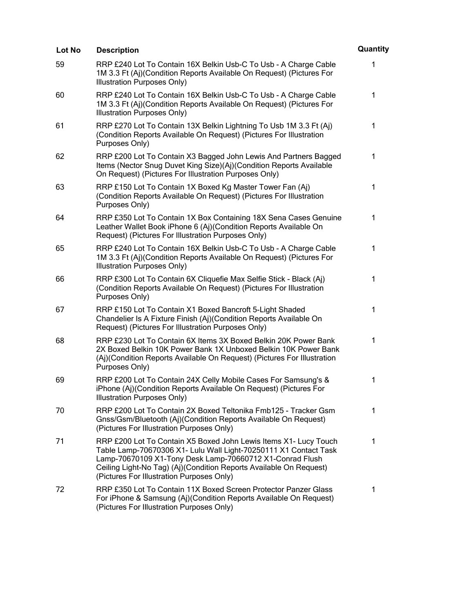| Lot No | <b>Description</b>                                                                                                                                                                                                                                                                                                  | Quantity |
|--------|---------------------------------------------------------------------------------------------------------------------------------------------------------------------------------------------------------------------------------------------------------------------------------------------------------------------|----------|
| 59     | RRP £240 Lot To Contain 16X Belkin Usb-C To Usb - A Charge Cable<br>1M 3.3 Ft (Aj)(Condition Reports Available On Request) (Pictures For<br>Illustration Purposes Only)                                                                                                                                             | 1        |
| 60     | RRP £240 Lot To Contain 16X Belkin Usb-C To Usb - A Charge Cable<br>1M 3.3 Ft (Aj)(Condition Reports Available On Request) (Pictures For<br>Illustration Purposes Only)                                                                                                                                             | 1        |
| 61     | RRP £270 Lot To Contain 13X Belkin Lightning To Usb 1M 3.3 Ft (Aj)<br>(Condition Reports Available On Request) (Pictures For Illustration<br>Purposes Only)                                                                                                                                                         | 1        |
| 62     | RRP £200 Lot To Contain X3 Bagged John Lewis And Partners Bagged<br>Items (Nector Snug Duvet King Size)(Aj)(Condition Reports Available<br>On Request) (Pictures For Illustration Purposes Only)                                                                                                                    | 1        |
| 63     | RRP £150 Lot To Contain 1X Boxed Kg Master Tower Fan (Aj)<br>(Condition Reports Available On Request) (Pictures For Illustration<br>Purposes Only)                                                                                                                                                                  | 1        |
| 64     | RRP £350 Lot To Contain 1X Box Containing 18X Sena Cases Genuine<br>Leather Wallet Book iPhone 6 (Aj)(Condition Reports Available On<br>Request) (Pictures For Illustration Purposes Only)                                                                                                                          | 1        |
| 65     | RRP £240 Lot To Contain 16X Belkin Usb-C To Usb - A Charge Cable<br>1M 3.3 Ft (Aj)(Condition Reports Available On Request) (Pictures For<br>Illustration Purposes Only)                                                                                                                                             | 1        |
| 66     | RRP £300 Lot To Contain 6X Cliquefie Max Selfie Stick - Black (Aj)<br>(Condition Reports Available On Request) (Pictures For Illustration<br>Purposes Only)                                                                                                                                                         | 1        |
| 67     | RRP £150 Lot To Contain X1 Boxed Bancroft 5-Light Shaded<br>Chandelier Is A Fixture Finish (Aj)(Condition Reports Available On<br>Request) (Pictures For Illustration Purposes Only)                                                                                                                                | 1        |
| 68     | RRP £230 Lot To Contain 6X Items 3X Boxed Belkin 20K Power Bank<br>2X Boxed Belkin 10K Power Bank 1X Unboxed Belkin 10K Power Bank<br>(Aj)(Condition Reports Available On Request) (Pictures For Illustration<br>Purposes Only)                                                                                     | 1        |
| 69     | RRP £200 Lot To Contain 24X Celly Mobile Cases For Samsung's &<br>iPhone (Aj)(Condition Reports Available On Request) (Pictures For<br>Illustration Purposes Only)                                                                                                                                                  | 1        |
| 70     | RRP £200 Lot To Contain 2X Boxed Teltonika Fmb125 - Tracker Gsm<br>Gnss/Gsm/Bluetooth (Aj)(Condition Reports Available On Request)<br>(Pictures For Illustration Purposes Only)                                                                                                                                     | 1        |
| 71     | RRP £200 Lot To Contain X5 Boxed John Lewis Items X1- Lucy Touch<br>Table Lamp-70670306 X1- Lulu Wall Light-70250111 X1 Contact Task<br>Lamp-70670109 X1-Tony Desk Lamp-70660712 X1-Conrad Flush<br>Ceiling Light-No Tag) (Aj)(Condition Reports Available On Request)<br>(Pictures For Illustration Purposes Only) | 1        |
| 72     | RRP £350 Lot To Contain 11X Boxed Screen Protector Panzer Glass<br>For iPhone & Samsung (Aj)(Condition Reports Available On Request)<br>(Pictures For Illustration Purposes Only)                                                                                                                                   | 1        |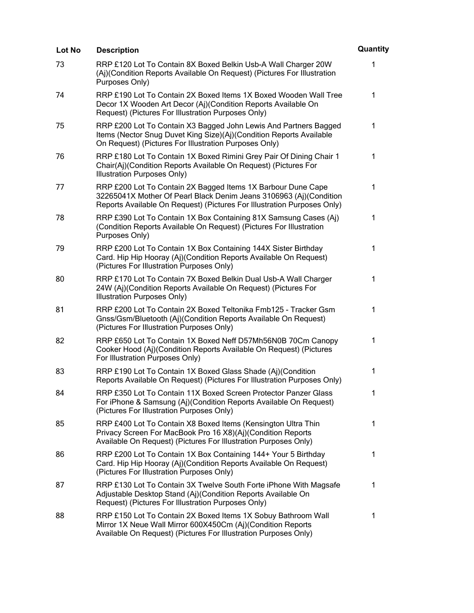| <b>Lot No</b> | <b>Description</b>                                                                                                                                                                                            | Quantity     |
|---------------|---------------------------------------------------------------------------------------------------------------------------------------------------------------------------------------------------------------|--------------|
| 73            | RRP £120 Lot To Contain 8X Boxed Belkin Usb-A Wall Charger 20W<br>(Aj)(Condition Reports Available On Request) (Pictures For Illustration<br>Purposes Only)                                                   | 1            |
| 74            | RRP £190 Lot To Contain 2X Boxed Items 1X Boxed Wooden Wall Tree<br>Decor 1X Wooden Art Decor (Aj)(Condition Reports Available On<br>Request) (Pictures For Illustration Purposes Only)                       | $\mathbf 1$  |
| 75            | RRP £200 Lot To Contain X3 Bagged John Lewis And Partners Bagged<br>Items (Nector Snug Duvet King Size)(Aj)(Condition Reports Available<br>On Request) (Pictures For Illustration Purposes Only)              | $\mathbf{1}$ |
| 76            | RRP £180 Lot To Contain 1X Boxed Rimini Grey Pair Of Dining Chair 1<br>Chair(Aj)(Condition Reports Available On Request) (Pictures For<br>Illustration Purposes Only)                                         | 1            |
| 77            | RRP £200 Lot To Contain 2X Bagged Items 1X Barbour Dune Cape<br>32265041X Mother Of Pearl Black Denim Jeans 3106963 (Aj)(Condition<br>Reports Available On Request) (Pictures For Illustration Purposes Only) | $\mathbf 1$  |
| 78            | RRP £390 Lot To Contain 1X Box Containing 81X Samsung Cases (Aj)<br>(Condition Reports Available On Request) (Pictures For Illustration<br>Purposes Only)                                                     | 1            |
| 79            | RRP £200 Lot To Contain 1X Box Containing 144X Sister Birthday<br>Card. Hip Hip Hooray (Aj)(Condition Reports Available On Request)<br>(Pictures For Illustration Purposes Only)                              | 1            |
| 80            | RRP £170 Lot To Contain 7X Boxed Belkin Dual Usb-A Wall Charger<br>24W (Aj)(Condition Reports Available On Request) (Pictures For<br>Illustration Purposes Only)                                              | 1            |
| 81            | RRP £200 Lot To Contain 2X Boxed Teltonika Fmb125 - Tracker Gsm<br>Gnss/Gsm/Bluetooth (Aj)(Condition Reports Available On Request)<br>(Pictures For Illustration Purposes Only)                               | 1            |
| 82            | RRP £650 Lot To Contain 1X Boxed Neff D57Mh56N0B 70Cm Canopy<br>Cooker Hood (Aj)(Condition Reports Available On Request) (Pictures<br>For Illustration Purposes Only)                                         | 1            |
| 83            | RRP £190 Lot To Contain 1X Boxed Glass Shade (Aj)(Condition<br>Reports Available On Request) (Pictures For Illustration Purposes Only)                                                                        | 1            |
| 84            | RRP £350 Lot To Contain 11X Boxed Screen Protector Panzer Glass<br>For iPhone & Samsung (Aj)(Condition Reports Available On Request)<br>(Pictures For Illustration Purposes Only)                             | 1            |
| 85            | RRP £400 Lot To Contain X8 Boxed Items (Kensington Ultra Thin<br>Privacy Screen For MacBook Pro 16 X8)(Aj)(Condition Reports<br>Available On Request) (Pictures For Illustration Purposes Only)               | 1            |
| 86            | RRP £200 Lot To Contain 1X Box Containing 144+ Your 5 Birthday<br>Card. Hip Hip Hooray (Aj)(Condition Reports Available On Request)<br>(Pictures For Illustration Purposes Only)                              | 1            |
| 87            | RRP £130 Lot To Contain 3X Twelve South Forte iPhone With Magsafe<br>Adjustable Desktop Stand (Aj)(Condition Reports Available On<br>Request) (Pictures For Illustration Purposes Only)                       | 1            |
| 88            | RRP £150 Lot To Contain 2X Boxed Items 1X Sobuy Bathroom Wall<br>Mirror 1X Neue Wall Mirror 600X450Cm (Aj)(Condition Reports<br>Available On Request) (Pictures For Illustration Purposes Only)               | 1            |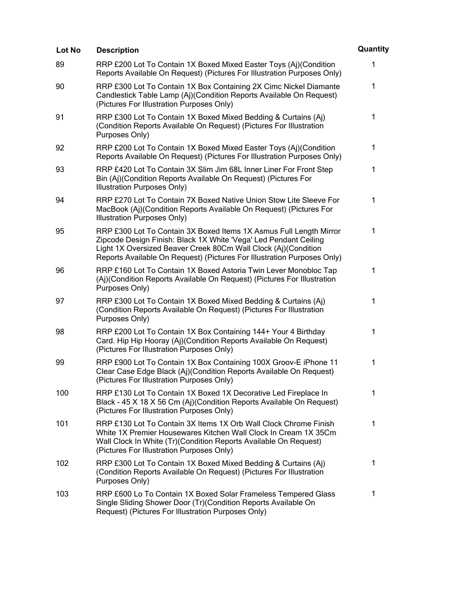| Lot No | <b>Description</b>                                                                                                                                                                                                                                                                  | Quantity     |
|--------|-------------------------------------------------------------------------------------------------------------------------------------------------------------------------------------------------------------------------------------------------------------------------------------|--------------|
| 89     | RRP £200 Lot To Contain 1X Boxed Mixed Easter Toys (Aj)(Condition<br>Reports Available On Request) (Pictures For Illustration Purposes Only)                                                                                                                                        | 1            |
| 90     | RRP £300 Lot To Contain 1X Box Containing 2X Cimc Nickel Diamante<br>Candlestick Table Lamp (Aj)(Condition Reports Available On Request)<br>(Pictures For Illustration Purposes Only)                                                                                               | 1            |
| 91     | RRP £300 Lot To Contain 1X Boxed Mixed Bedding & Curtains (Aj)<br>(Condition Reports Available On Request) (Pictures For Illustration<br>Purposes Only)                                                                                                                             | $\mathbf{1}$ |
| 92     | RRP £200 Lot To Contain 1X Boxed Mixed Easter Toys (Aj)(Condition<br>Reports Available On Request) (Pictures For Illustration Purposes Only)                                                                                                                                        | $\mathbf 1$  |
| 93     | RRP £420 Lot To Contain 3X Slim Jim 68L Inner Liner For Front Step<br>Bin (Aj)(Condition Reports Available On Request) (Pictures For<br>Illustration Purposes Only)                                                                                                                 | $\mathbf 1$  |
| 94     | RRP £270 Lot To Contain 7X Boxed Native Union Stow Lite Sleeve For<br>MacBook (Aj)(Condition Reports Available On Request) (Pictures For<br>Illustration Purposes Only)                                                                                                             | 1            |
| 95     | RRP £300 Lot To Contain 3X Boxed Items 1X Asmus Full Length Mirror<br>Zipcode Design Finish: Black 1X White 'Vega' Led Pendant Ceiling<br>Light 1X Oversized Beaver Creek 80Cm Wall Clock (Aj)(Condition<br>Reports Available On Request) (Pictures For Illustration Purposes Only) | $\mathbf{1}$ |
| 96     | RRP £160 Lot To Contain 1X Boxed Astoria Twin Lever Monobloc Tap<br>(Aj)(Condition Reports Available On Request) (Pictures For Illustration<br>Purposes Only)                                                                                                                       | 1            |
| 97     | RRP £300 Lot To Contain 1X Boxed Mixed Bedding & Curtains (Aj)<br>(Condition Reports Available On Request) (Pictures For Illustration<br>Purposes Only)                                                                                                                             | 1            |
| 98     | RRP £200 Lot To Contain 1X Box Containing 144+ Your 4 Birthday<br>Card. Hip Hip Hooray (Aj)(Condition Reports Available On Request)<br>(Pictures For Illustration Purposes Only)                                                                                                    | 1            |
| 99     | RRP £900 Lot To Contain 1X Box Containing 100X Groov-E iPhone 11<br>Clear Case Edge Black (Aj)(Condition Reports Available On Request)<br>(Pictures For Illustration Purposes Only)                                                                                                 | 1            |
| 100    | RRP £130 Lot To Contain 1X Boxed 1X Decorative Led Fireplace In<br>Black - 45 X 18 X 56 Cm (Aj)(Condition Reports Available On Request)<br>(Pictures For Illustration Purposes Only)                                                                                                | 1            |
| 101    | RRP £130 Lot To Contain 3X Items 1X Orb Wall Clock Chrome Finish<br>White 1X Premier Housewares Kitchen Wall Clock In Cream 1X 35Cm<br>Wall Clock In White (Tr) (Condition Reports Available On Request)<br>(Pictures For Illustration Purposes Only)                               | 1            |
| 102    | RRP £300 Lot To Contain 1X Boxed Mixed Bedding & Curtains (Aj)<br>(Condition Reports Available On Request) (Pictures For Illustration<br>Purposes Only)                                                                                                                             | 1            |
| 103    | RRP £600 Lo To Contain 1X Boxed Solar Frameless Tempered Glass<br>Single Sliding Shower Door (Tr)(Condition Reports Available On<br>Request) (Pictures For Illustration Purposes Only)                                                                                              | 1            |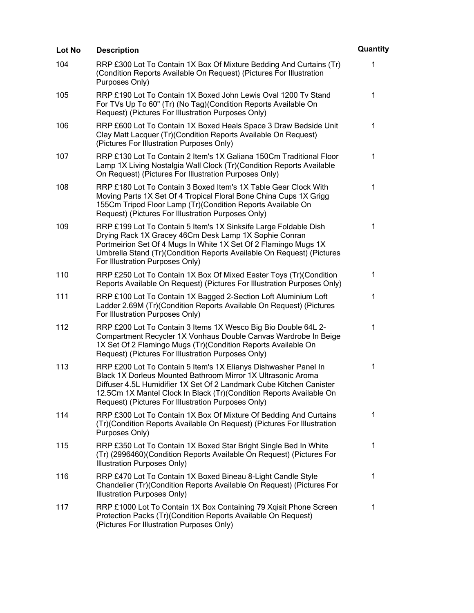| Lot No | <b>Description</b>                                                                                                                                                                                                                                                                                                                  | Quantity |
|--------|-------------------------------------------------------------------------------------------------------------------------------------------------------------------------------------------------------------------------------------------------------------------------------------------------------------------------------------|----------|
| 104    | RRP £300 Lot To Contain 1X Box Of Mixture Bedding And Curtains (Tr)<br>(Condition Reports Available On Request) (Pictures For Illustration<br>Purposes Only)                                                                                                                                                                        | 1        |
| 105    | RRP £190 Lot To Contain 1X Boxed John Lewis Oval 1200 Ty Stand<br>For TVs Up To 60" (Tr) (No Tag) (Condition Reports Available On<br>Request) (Pictures For Illustration Purposes Only)                                                                                                                                             | 1        |
| 106    | RRP £600 Lot To Contain 1X Boxed Heals Space 3 Draw Bedside Unit<br>Clay Matt Lacquer (Tr)(Condition Reports Available On Request)<br>(Pictures For Illustration Purposes Only)                                                                                                                                                     | 1        |
| 107    | RRP £130 Lot To Contain 2 Item's 1X Galiana 150Cm Traditional Floor<br>Lamp 1X Living Nostalgia Wall Clock (Tr)(Condition Reports Available<br>On Request) (Pictures For Illustration Purposes Only)                                                                                                                                | 1        |
| 108    | RRP £180 Lot To Contain 3 Boxed Item's 1X Table Gear Clock With<br>Moving Parts 1X Set Of 4 Tropical Floral Bone China Cups 1X Grigg<br>155Cm Tripod Floor Lamp (Tr) (Condition Reports Available On<br>Request) (Pictures For Illustration Purposes Only)                                                                          | 1        |
| 109    | RRP £199 Lot To Contain 5 Item's 1X Sinksife Large Foldable Dish<br>Drying Rack 1X Gracey 46Cm Desk Lamp 1X Sophie Conran<br>Portmeirion Set Of 4 Mugs In White 1X Set Of 2 Flamingo Mugs 1X<br>Umbrella Stand (Tr)(Condition Reports Available On Request) (Pictures<br>For Illustration Purposes Only)                            | 1        |
| 110    | RRP £250 Lot To Contain 1X Box Of Mixed Easter Toys (Tr)(Condition<br>Reports Available On Request) (Pictures For Illustration Purposes Only)                                                                                                                                                                                       | 1        |
| 111    | RRP £100 Lot To Contain 1X Bagged 2-Section Loft Aluminium Loft<br>Ladder 2.69M (Tr)(Condition Reports Available On Request) (Pictures<br>For Illustration Purposes Only)                                                                                                                                                           | 1        |
| 112    | RRP £200 Lot To Contain 3 Items 1X Wesco Big Bio Double 64L 2-<br>Compartment Recycler 1X Vonhaus Double Canvas Wardrobe In Beige<br>1X Set Of 2 Flamingo Mugs (Tr)(Condition Reports Available On<br>Request) (Pictures For Illustration Purposes Only)                                                                            | 1        |
| 113    | RRP £200 Lot To Contain 5 Item's 1X Elianys Dishwasher Panel In<br>Black 1X Dorleus Mounted Bathroom Mirror 1X Ultrasonic Aroma<br>Diffuser 4.5L Humidifier 1X Set Of 2 Landmark Cube Kitchen Canister<br>12.5Cm 1X Mantel Clock In Black (Tr)(Condition Reports Available On<br>Request) (Pictures For Illustration Purposes Only) | 1        |
| 114    | RRP £300 Lot To Contain 1X Box Of Mixture Of Bedding And Curtains<br>(Tr)(Condition Reports Available On Request) (Pictures For Illustration<br>Purposes Only)                                                                                                                                                                      | 1        |
| 115    | RRP £350 Lot To Contain 1X Boxed Star Bright Single Bed In White<br>(Tr) (2996460)(Condition Reports Available On Request) (Pictures For<br>Illustration Purposes Only)                                                                                                                                                             | 1        |
| 116    | RRP £470 Lot To Contain 1X Boxed Bineau 8-Light Candle Style<br>Chandelier (Tr)(Condition Reports Available On Request) (Pictures For<br>Illustration Purposes Only)                                                                                                                                                                | 1        |
| 117    | RRP £1000 Lot To Contain 1X Box Containing 79 Xqisit Phone Screen<br>Protection Packs (Tr)(Condition Reports Available On Request)<br>(Pictures For Illustration Purposes Only)                                                                                                                                                     | 1        |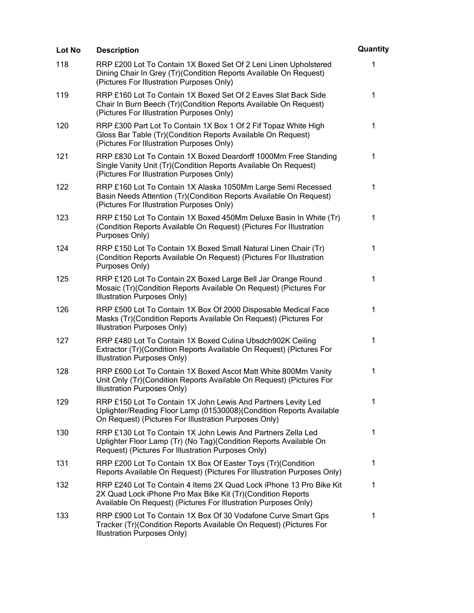| Lot No | <b>Description</b>                                                                                                                                                                                    | Quantity     |
|--------|-------------------------------------------------------------------------------------------------------------------------------------------------------------------------------------------------------|--------------|
| 118    | RRP £200 Lot To Contain 1X Boxed Set Of 2 Leni Linen Upholstered<br>Dining Chair In Grey (Tr) (Condition Reports Available On Request)<br>(Pictures For Illustration Purposes Only)                   | 1            |
| 119    | RRP £160 Lot To Contain 1X Boxed Set Of 2 Eaves Slat Back Side<br>Chair In Burn Beech (Tr)(Condition Reports Available On Request)<br>(Pictures For Illustration Purposes Only)                       | $\mathbf 1$  |
| 120    | RRP £300 Part Lot To Contain 1X Box 1 Of 2 Fif Topaz White High<br>Gloss Bar Table (Tr)(Condition Reports Available On Request)<br>(Pictures For Illustration Purposes Only)                          | $\mathbf{1}$ |
| 121    | RRP £830 Lot To Contain 1X Boxed Deardorff 1000Mm Free Standing<br>Single Vanity Unit (Tr) (Condition Reports Available On Request)<br>(Pictures For Illustration Purposes Only)                      | $\mathbf{1}$ |
| 122    | RRP £160 Lot To Contain 1X Alaska 1050Mm Large Semi Recessed<br>Basin Needs Attention (Tr)(Condition Reports Available On Request)<br>(Pictures For Illustration Purposes Only)                       | 1            |
| 123    | RRP £150 Lot To Contain 1X Boxed 450Mm Deluxe Basin In White (Tr)<br>(Condition Reports Available On Request) (Pictures For Illustration<br>Purposes Only)                                            | 1            |
| 124    | RRP £150 Lot To Contain 1X Boxed Small Natural Linen Chair (Tr)<br>(Condition Reports Available On Request) (Pictures For Illustration<br>Purposes Only)                                              | $\mathbf 1$  |
| 125    | RRP £120 Lot To Contain 2X Boxed Large Bell Jar Orange Round<br>Mosaic (Tr)(Condition Reports Available On Request) (Pictures For<br>Illustration Purposes Only)                                      | 1            |
| 126    | RRP £500 Lot To Contain 1X Box Of 2000 Disposable Medical Face<br>Masks (Tr) (Condition Reports Available On Request) (Pictures For<br>Illustration Purposes Only)                                    | $\mathbf{1}$ |
| 127    | RRP £480 Lot To Contain 1X Boxed Culina Ubsdch902K Ceiling<br>Extractor (Tr)(Condition Reports Available On Request) (Pictures For<br>Illustration Purposes Only)                                     | 1            |
| 128    | RRP £600 Lot To Contain 1X Boxed Ascot Matt White 800Mm Vanity<br>Unit Only (Tr)(Condition Reports Available On Request) (Pictures For<br>Illustration Purposes Only)                                 | 1            |
| 129    | RRP £150 Lot To Contain 1X John Lewis And Partners Levity Led<br>Uplighter/Reading Floor Lamp (01530008) (Condition Reports Available<br>On Request) (Pictures For Illustration Purposes Only)        | 1            |
| 130    | RRP £130 Lot To Contain 1X John Lewis And Partners Zella Led<br>Uplighter Floor Lamp (Tr) (No Tag) (Condition Reports Available On<br>Request) (Pictures For Illustration Purposes Only)              | $\mathbf 1$  |
| 131    | RRP £200 Lot To Contain 1X Box Of Easter Toys (Tr)(Condition<br>Reports Available On Request) (Pictures For Illustration Purposes Only)                                                               | 1            |
| 132    | RRP £240 Lot To Contain 4 Items 2X Quad Lock iPhone 13 Pro Bike Kit<br>2X Quad Lock iPhone Pro Max Bike Kit (Tr)(Condition Reports<br>Available On Request) (Pictures For Illustration Purposes Only) | $\mathbf 1$  |
| 133    | RRP £900 Lot To Contain 1X Box Of 30 Vodafone Curve Smart Gps<br>Tracker (Tr)(Condition Reports Available On Request) (Pictures For<br>Illustration Purposes Only)                                    | 1            |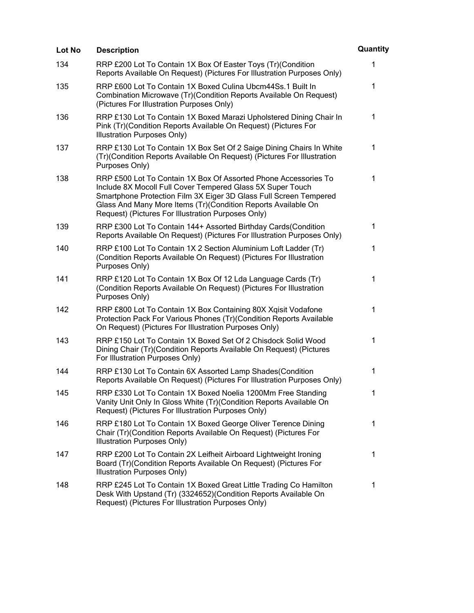| Lot No | <b>Description</b>                                                                                                                                                                                                                                                                                                        | Quantity     |
|--------|---------------------------------------------------------------------------------------------------------------------------------------------------------------------------------------------------------------------------------------------------------------------------------------------------------------------------|--------------|
| 134    | RRP £200 Lot To Contain 1X Box Of Easter Toys (Tr)(Condition<br>Reports Available On Request) (Pictures For Illustration Purposes Only)                                                                                                                                                                                   | 1            |
| 135    | RRP £600 Lot To Contain 1X Boxed Culina Ubcm44Ss.1 Built In<br>Combination Microwave (Tr)(Condition Reports Available On Request)<br>(Pictures For Illustration Purposes Only)                                                                                                                                            | 1            |
| 136    | RRP £130 Lot To Contain 1X Boxed Marazi Upholstered Dining Chair In<br>Pink (Tr) (Condition Reports Available On Request) (Pictures For<br>Illustration Purposes Only)                                                                                                                                                    | 1            |
| 137    | RRP £130 Lot To Contain 1X Box Set Of 2 Saige Dining Chairs In White<br>(Tr)(Condition Reports Available On Request) (Pictures For Illustration<br>Purposes Only)                                                                                                                                                         | $\mathbf 1$  |
| 138    | RRP £500 Lot To Contain 1X Box Of Assorted Phone Accessories To<br>Include 8X Mocoll Full Cover Tempered Glass 5X Super Touch<br>Smartphone Protection Film 3X Eiger 3D Glass Full Screen Tempered<br>Glass And Many More Items (Tr)(Condition Reports Available On<br>Request) (Pictures For Illustration Purposes Only) | 1            |
| 139    | RRP £300 Lot To Contain 144+ Assorted Birthday Cards (Condition<br>Reports Available On Request) (Pictures For Illustration Purposes Only)                                                                                                                                                                                | $\mathbf{1}$ |
| 140    | RRP £100 Lot To Contain 1X 2 Section Aluminium Loft Ladder (Tr)<br>(Condition Reports Available On Request) (Pictures For Illustration<br>Purposes Only)                                                                                                                                                                  | 1            |
| 141    | RRP £120 Lot To Contain 1X Box Of 12 Lda Language Cards (Tr)<br>(Condition Reports Available On Request) (Pictures For Illustration<br>Purposes Only)                                                                                                                                                                     | 1            |
| 142    | RRP £800 Lot To Contain 1X Box Containing 80X Xqisit Vodafone<br>Protection Pack For Various Phones (Tr)(Condition Reports Available<br>On Request) (Pictures For Illustration Purposes Only)                                                                                                                             | 1            |
| 143    | RRP £150 Lot To Contain 1X Boxed Set Of 2 Chisdock Solid Wood<br>Dining Chair (Tr) (Condition Reports Available On Request) (Pictures<br>For Illustration Purposes Only)                                                                                                                                                  | 1            |
| 144    | RRP £130 Lot To Contain 6X Assorted Lamp Shades(Condition<br>Reports Available On Request) (Pictures For Illustration Purposes Only)                                                                                                                                                                                      | 1            |
| 145    | RRP £330 Lot To Contain 1X Boxed Noelia 1200Mm Free Standing<br>Vanity Unit Only In Gloss White (Tr)(Condition Reports Available On<br>Request) (Pictures For Illustration Purposes Only)                                                                                                                                 | 1            |
| 146    | RRP £180 Lot To Contain 1X Boxed George Oliver Terence Dining<br>Chair (Tr) (Condition Reports Available On Request) (Pictures For<br>Illustration Purposes Only)                                                                                                                                                         | 1            |
| 147    | RRP £200 Lot To Contain 2X Leifheit Airboard Lightweight Ironing<br>Board (Tr) (Condition Reports Available On Request) (Pictures For<br>Illustration Purposes Only)                                                                                                                                                      | 1            |
| 148    | RRP £245 Lot To Contain 1X Boxed Great Little Trading Co Hamilton<br>Desk With Upstand (Tr) (3324652) (Condition Reports Available On<br>Request) (Pictures For Illustration Purposes Only)                                                                                                                               | 1            |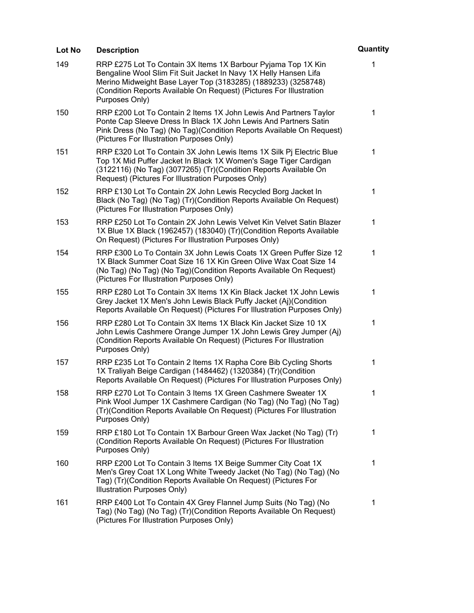| Lot No | <b>Description</b>                                                                                                                                                                                                                                                                          | Quantity     |
|--------|---------------------------------------------------------------------------------------------------------------------------------------------------------------------------------------------------------------------------------------------------------------------------------------------|--------------|
| 149    | RRP £275 Lot To Contain 3X Items 1X Barbour Pyjama Top 1X Kin<br>Bengaline Wool Slim Fit Suit Jacket In Navy 1X Helly Hansen Lifa<br>Merino Midweight Base Layer Top (3183285) (1889233) (3258748)<br>(Condition Reports Available On Request) (Pictures For Illustration<br>Purposes Only) | 1            |
| 150    | RRP £200 Lot To Contain 2 Items 1X John Lewis And Partners Taylor<br>Ponte Cap Sleeve Dress In Black 1X John Lewis And Partners Satin<br>Pink Dress (No Tag) (No Tag) (Condition Reports Available On Request)<br>(Pictures For Illustration Purposes Only)                                 | 1            |
| 151    | RRP £320 Lot To Contain 3X John Lewis Items 1X Silk Pj Electric Blue<br>Top 1X Mid Puffer Jacket In Black 1X Women's Sage Tiger Cardigan<br>(3122116) (No Tag) (3077265) (Tr) (Condition Reports Available On<br>Request) (Pictures For Illustration Purposes Only)                         | $\mathbf{1}$ |
| 152    | RRP £130 Lot To Contain 2X John Lewis Recycled Borg Jacket In<br>Black (No Tag) (No Tag) (Tr) (Condition Reports Available On Request)<br>(Pictures For Illustration Purposes Only)                                                                                                         | 1            |
| 153    | RRP £250 Lot To Contain 2X John Lewis Velvet Kin Velvet Satin Blazer<br>1X Blue 1X Black (1962457) (183040) (Tr)(Condition Reports Available<br>On Request) (Pictures For Illustration Purposes Only)                                                                                       | 1            |
| 154    | RRP £300 Lo To Contain 3X John Lewis Coats 1X Green Puffer Size 12<br>1X Black Summer Coat Size 16 1X Kin Green Olive Wax Coat Size 14<br>(No Tag) (No Tag) (No Tag) (Condition Reports Available On Request)<br>(Pictures For Illustration Purposes Only)                                  | $\mathbf 1$  |
| 155    | RRP £280 Lot To Contain 3X Items 1X Kin Black Jacket 1X John Lewis<br>Grey Jacket 1X Men's John Lewis Black Puffy Jacket (Aj)(Condition<br>Reports Available On Request) (Pictures For Illustration Purposes Only)                                                                          | 1            |
| 156    | RRP £280 Lot To Contain 3X Items 1X Black Kin Jacket Size 10 1X<br>John Lewis Cashmere Orange Jumper 1X John Lewis Grey Jumper (Aj)<br>(Condition Reports Available On Request) (Pictures For Illustration<br>Purposes Only)                                                                | 1            |
| 157    | RRP £235 Lot To Contain 2 Items 1X Rapha Core Bib Cycling Shorts<br>1X Traliyah Beige Cardigan (1484462) (1320384) (Tr)(Condition<br>Reports Available On Request) (Pictures For Illustration Purposes Only)                                                                                | 1            |
| 158    | RRP £270 Lot To Contain 3 Items 1X Green Cashmere Sweater 1X<br>Pink Wool Jumper 1X Cashmere Cardigan (No Tag) (No Tag) (No Tag)<br>(Tr) (Condition Reports Available On Request) (Pictures For Illustration<br>Purposes Only)                                                              | 1            |
| 159    | RRP £180 Lot To Contain 1X Barbour Green Wax Jacket (No Tag) (Tr)<br>(Condition Reports Available On Request) (Pictures For Illustration<br>Purposes Only)                                                                                                                                  | 1            |
| 160    | RRP £200 Lot To Contain 3 Items 1X Beige Summer City Coat 1X<br>Men's Grey Coat 1X Long White Tweedy Jacket (No Tag) (No Tag) (No<br>Tag) (Tr) (Condition Reports Available On Request) (Pictures For<br>Illustration Purposes Only)                                                        | 1            |
| 161    | RRP £400 Lot To Contain 4X Grey Flannel Jump Suits (No Tag) (No<br>Tag) (No Tag) (No Tag) (Tr) (Condition Reports Available On Request)<br>(Pictures For Illustration Purposes Only)                                                                                                        | 1            |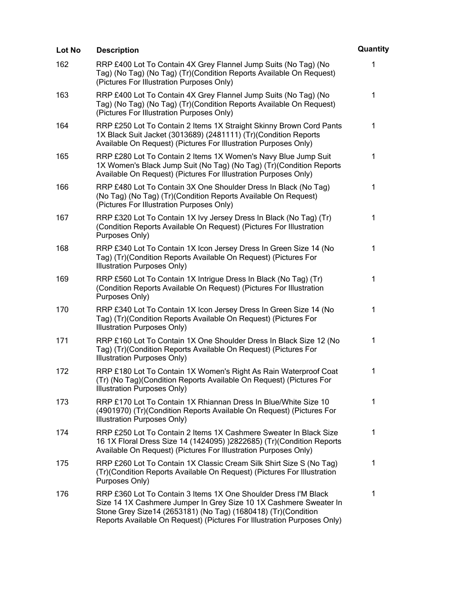| Lot No | <b>Description</b>                                                                                                                                                                                                                                                               | Quantity     |
|--------|----------------------------------------------------------------------------------------------------------------------------------------------------------------------------------------------------------------------------------------------------------------------------------|--------------|
| 162    | RRP £400 Lot To Contain 4X Grey Flannel Jump Suits (No Tag) (No<br>Tag) (No Tag) (No Tag) (Tr) (Condition Reports Available On Request)<br>(Pictures For Illustration Purposes Only)                                                                                             | 1            |
| 163    | RRP £400 Lot To Contain 4X Grey Flannel Jump Suits (No Tag) (No<br>Tag) (No Tag) (No Tag) (Tr) (Condition Reports Available On Request)<br>(Pictures For Illustration Purposes Only)                                                                                             | 1            |
| 164    | RRP £250 Lot To Contain 2 Items 1X Straight Skinny Brown Cord Pants<br>1X Black Suit Jacket (3013689) (2481111) (Tr)(Condition Reports<br>Available On Request) (Pictures For Illustration Purposes Only)                                                                        | $\mathbf{1}$ |
| 165    | RRP £280 Lot To Contain 2 Items 1X Women's Navy Blue Jump Suit<br>1X Women's Black Jump Suit (No Tag) (No Tag) (Tr) (Condition Reports<br>Available On Request) (Pictures For Illustration Purposes Only)                                                                        | 1            |
| 166    | RRP £480 Lot To Contain 3X One Shoulder Dress In Black (No Tag)<br>(No Tag) (No Tag) (Tr) (Condition Reports Available On Request)<br>(Pictures For Illustration Purposes Only)                                                                                                  | 1            |
| 167    | RRP £320 Lot To Contain 1X Ivy Jersey Dress In Black (No Tag) (Tr)<br>(Condition Reports Available On Request) (Pictures For Illustration<br>Purposes Only)                                                                                                                      | 1            |
| 168    | RRP £340 Lot To Contain 1X Icon Jersey Dress In Green Size 14 (No<br>Tag) (Tr) (Condition Reports Available On Request) (Pictures For<br>Illustration Purposes Only)                                                                                                             | 1            |
| 169    | RRP £560 Lot To Contain 1X Intrigue Dress In Black (No Tag) (Tr)<br>(Condition Reports Available On Request) (Pictures For Illustration<br>Purposes Only)                                                                                                                        | 1            |
| 170    | RRP £340 Lot To Contain 1X Icon Jersey Dress In Green Size 14 (No<br>Tag) (Tr)(Condition Reports Available On Request) (Pictures For<br>Illustration Purposes Only)                                                                                                              | 1            |
| 171    | RRP £160 Lot To Contain 1X One Shoulder Dress In Black Size 12 (No<br>Tag) (Tr) (Condition Reports Available On Request) (Pictures For<br>Illustration Purposes Only)                                                                                                            | 1            |
| 172    | RRP £180 Lot To Contain 1X Women's Right As Rain Waterproof Coat<br>(Tr) (No Tag) (Condition Reports Available On Request) (Pictures For<br>Illustration Purposes Only)                                                                                                          | 1            |
| 173    | RRP £170 Lot To Contain 1X Rhiannan Dress In Blue/White Size 10<br>(4901970) (Tr)(Condition Reports Available On Request) (Pictures For<br>Illustration Purposes Only)                                                                                                           | 1            |
| 174    | RRP £250 Lot To Contain 2 Items 1X Cashmere Sweater In Black Size<br>16 1X Floral Dress Size 14 (1424095) )2822685) (Tr)(Condition Reports<br>Available On Request) (Pictures For Illustration Purposes Only)                                                                    | 1            |
| 175    | RRP £260 Lot To Contain 1X Classic Cream Silk Shirt Size S (No Tag)<br>(Tr) (Condition Reports Available On Request) (Pictures For Illustration<br>Purposes Only)                                                                                                                | 1            |
| 176    | RRP £360 Lot To Contain 3 Items 1X One Shoulder Dress I'M Black<br>Size 14 1X Cashmere Jumper In Grey Size 10 1X Cashmere Sweater In<br>Stone Grey Size14 (2653181) (No Tag) (1680418) (Tr)(Condition<br>Reports Available On Request) (Pictures For Illustration Purposes Only) | 1            |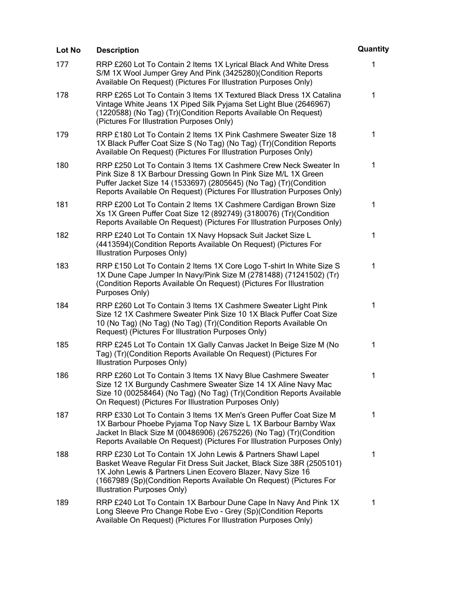| Lot No | <b>Description</b>                                                                                                                                                                                                                                                                                        | Quantity     |
|--------|-----------------------------------------------------------------------------------------------------------------------------------------------------------------------------------------------------------------------------------------------------------------------------------------------------------|--------------|
| 177    | RRP £260 Lot To Contain 2 Items 1X Lyrical Black And White Dress<br>S/M 1X Wool Jumper Grey And Pink (3425280)(Condition Reports<br>Available On Request) (Pictures For Illustration Purposes Only)                                                                                                       | $\mathbf{1}$ |
| 178    | RRP £265 Lot To Contain 3 Items 1X Textured Black Dress 1X Catalina<br>Vintage White Jeans 1X Piped Silk Pyjama Set Light Blue (2646967)<br>(1220588) (No Tag) (Tr) (Condition Reports Available On Request)<br>(Pictures For Illustration Purposes Only)                                                 | 1            |
| 179    | RRP £180 Lot To Contain 2 Items 1X Pink Cashmere Sweater Size 18<br>1X Black Puffer Coat Size S (No Tag) (No Tag) (Tr) (Condition Reports<br>Available On Request) (Pictures For Illustration Purposes Only)                                                                                              | $\mathbf{1}$ |
| 180    | RRP £250 Lot To Contain 3 Items 1X Cashmere Crew Neck Sweater In<br>Pink Size 8 1X Barbour Dressing Gown In Pink Size M/L 1X Green<br>Puffer Jacket Size 14 (1533697) (2805645) (No Tag) (Tr) (Condition<br>Reports Available On Request) (Pictures For Illustration Purposes Only)                       | 1            |
| 181    | RRP £200 Lot To Contain 2 Items 1X Cashmere Cardigan Brown Size<br>Xs 1X Green Puffer Coat Size 12 (892749) (3180076) (Tr) (Condition<br>Reports Available On Request) (Pictures For Illustration Purposes Only)                                                                                          | 1            |
| 182    | RRP £240 Lot To Contain 1X Navy Hopsack Suit Jacket Size L<br>(4413594) (Condition Reports Available On Request) (Pictures For<br>Illustration Purposes Only)                                                                                                                                             | 1            |
| 183    | RRP £150 Lot To Contain 2 Items 1X Core Logo T-shirt In White Size S<br>1X Dune Cape Jumper In Navy/Pink Size M (2781488) (71241502) (Tr)<br>(Condition Reports Available On Request) (Pictures For Illustration<br>Purposes Only)                                                                        | 1            |
| 184    | RRP £260 Lot To Contain 3 Items 1X Cashmere Sweater Light Pink<br>Size 12 1X Cashmere Sweater Pink Size 10 1X Black Puffer Coat Size<br>10 (No Tag) (No Tag) (No Tag) (Tr) (Condition Reports Available On<br>Request) (Pictures For Illustration Purposes Only)                                          | $\mathbf{1}$ |
| 185    | RRP £245 Lot To Contain 1X Gally Canvas Jacket In Beige Size M (No<br>Tag) (Tr) (Condition Reports Available On Request) (Pictures For<br>Illustration Purposes Only)                                                                                                                                     | 1            |
| 186    | RRP £260 Lot To Contain 3 Items 1X Navy Blue Cashmere Sweater<br>Size 12 1X Burgundy Cashmere Sweater Size 14 1X Aline Navy Mac<br>Size 10 (00258464) (No Tag) (No Tag) (Tr)(Condition Reports Available<br>On Request) (Pictures For Illustration Purposes Only)                                         | 1            |
| 187    | RRP £330 Lot To Contain 3 Items 1X Men's Green Puffer Coat Size M<br>1X Barbour Phoebe Pyjama Top Navy Size L 1X Barbour Barnby Wax<br>Jacket In Black Size M (00486906) (2675226) (No Tag) (Tr)(Condition<br>Reports Available On Request) (Pictures For Illustration Purposes Only)                     | 1            |
| 188    | RRP £230 Lot To Contain 1X John Lewis & Partners Shawl Lapel<br>Basket Weave Regular Fit Dress Suit Jacket, Black Size 38R (2505101)<br>1X John Lewis & Partners Linen Ecovero Blazer, Navy Size 16<br>(1667989 (Sp)(Condition Reports Available On Request) (Pictures For<br>Illustration Purposes Only) | 1            |
| 189    | RRP £240 Lot To Contain 1X Barbour Dune Cape In Navy And Pink 1X<br>Long Sleeve Pro Change Robe Evo - Grey (Sp) (Condition Reports<br>Available On Request) (Pictures For Illustration Purposes Only)                                                                                                     | 1            |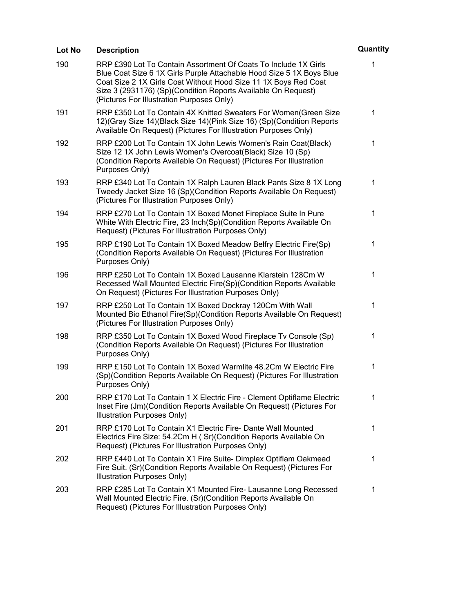| Lot No | <b>Description</b>                                                                                                                                                                                                                                                                                                       | Quantity     |
|--------|--------------------------------------------------------------------------------------------------------------------------------------------------------------------------------------------------------------------------------------------------------------------------------------------------------------------------|--------------|
| 190    | RRP £390 Lot To Contain Assortment Of Coats To Include 1X Girls<br>Blue Coat Size 6 1X Girls Purple Attachable Hood Size 5 1X Boys Blue<br>Coat Size 2 1X Girls Coat Without Hood Size 11 1X Boys Red Coat<br>Size 3 (2931176) (Sp)(Condition Reports Available On Request)<br>(Pictures For Illustration Purposes Only) | 1            |
| 191    | RRP £350 Lot To Contain 4X Knitted Sweaters For Women(Green Size<br>12)(Gray Size 14)(Black Size 14)(Pink Size 16) (Sp)(Condition Reports<br>Available On Request) (Pictures For Illustration Purposes Only)                                                                                                             | 1            |
| 192    | RRP £200 Lot To Contain 1X John Lewis Women's Rain Coat(Black)<br>Size 12 1X John Lewis Women's Overcoat(Black) Size 10 (Sp)<br>(Condition Reports Available On Request) (Pictures For Illustration<br>Purposes Only)                                                                                                    | 1            |
| 193    | RRP £340 Lot To Contain 1X Ralph Lauren Black Pants Size 8 1X Long<br>Tweedy Jacket Size 16 (Sp)(Condition Reports Available On Request)<br>(Pictures For Illustration Purposes Only)                                                                                                                                    | 1            |
| 194    | RRP £270 Lot To Contain 1X Boxed Monet Fireplace Suite In Pure<br>White With Electric Fire, 23 Inch(Sp)(Condition Reports Available On<br>Request) (Pictures For Illustration Purposes Only)                                                                                                                             | 1            |
| 195    | RRP £190 Lot To Contain 1X Boxed Meadow Belfry Electric Fire(Sp)<br>(Condition Reports Available On Request) (Pictures For Illustration<br>Purposes Only)                                                                                                                                                                | $\mathbf 1$  |
| 196    | RRP £250 Lot To Contain 1X Boxed Lausanne Klarstein 128Cm W<br>Recessed Wall Mounted Electric Fire(Sp)(Condition Reports Available<br>On Request) (Pictures For Illustration Purposes Only)                                                                                                                              | 1            |
| 197    | RRP £250 Lot To Contain 1X Boxed Dockray 120Cm With Wall<br>Mounted Bio Ethanol Fire(Sp)(Condition Reports Available On Request)<br>(Pictures For Illustration Purposes Only)                                                                                                                                            | $\mathbf{1}$ |
| 198    | RRP £350 Lot To Contain 1X Boxed Wood Fireplace Tv Console (Sp)<br>(Condition Reports Available On Request) (Pictures For Illustration<br>Purposes Only)                                                                                                                                                                 | 1            |
| 199    | RRP £150 Lot To Contain 1X Boxed Warmlite 48.2Cm W Electric Fire<br>(Sp)(Condition Reports Available On Request) (Pictures For Illustration<br>Purposes Only)                                                                                                                                                            | 1            |
| 200    | RRP £170 Lot To Contain 1 X Electric Fire - Clement Optiflame Electric<br>Inset Fire (Jm)(Condition Reports Available On Request) (Pictures For<br>Illustration Purposes Only)                                                                                                                                           | 1            |
| 201    | RRP £170 Lot To Contain X1 Electric Fire- Dante Wall Mounted<br>Electrics Fire Size: 54.2Cm H (Sr)(Condition Reports Available On<br>Request) (Pictures For Illustration Purposes Only)                                                                                                                                  | 1            |
| 202    | RRP £440 Lot To Contain X1 Fire Suite- Dimplex Optiflam Oakmead<br>Fire Suit. (Sr) (Condition Reports Available On Request) (Pictures For<br>Illustration Purposes Only)                                                                                                                                                 | $\mathbf 1$  |
| 203    | RRP £285 Lot To Contain X1 Mounted Fire- Lausanne Long Recessed<br>Wall Mounted Electric Fire. (Sr) (Condition Reports Available On<br>Request) (Pictures For Illustration Purposes Only)                                                                                                                                | 1            |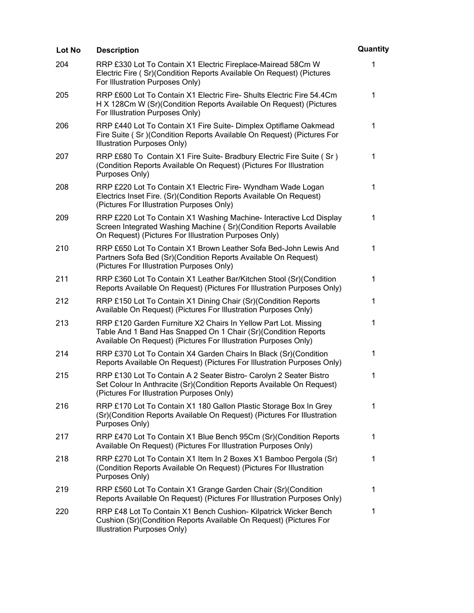| Lot No | <b>Description</b>                                                                                                                                                                                   | Quantity     |
|--------|------------------------------------------------------------------------------------------------------------------------------------------------------------------------------------------------------|--------------|
| 204    | RRP £330 Lot To Contain X1 Electric Fireplace-Mairead 58Cm W<br>Electric Fire (Sr)(Condition Reports Available On Request) (Pictures<br>For Illustration Purposes Only)                              | $\mathbf{1}$ |
| 205    | RRP £600 Lot To Contain X1 Electric Fire- Shults Electric Fire 54.4Cm<br>H X 128Cm W (Sr)(Condition Reports Available On Request) (Pictures<br>For Illustration Purposes Only)                       | 1            |
| 206    | RRP £440 Lot To Contain X1 Fire Suite- Dimplex Optiflame Oakmead<br>Fire Suite (Sr) (Condition Reports Available On Request) (Pictures For<br>Illustration Purposes Only)                            | 1            |
| 207    | RRP £680 To Contain X1 Fire Suite- Bradbury Electric Fire Suite (Sr)<br>(Condition Reports Available On Request) (Pictures For Illustration<br>Purposes Only)                                        | 1            |
| 208    | RRP £220 Lot To Contain X1 Electric Fire- Wyndham Wade Logan<br>Electrics Inset Fire. (Sr)(Condition Reports Available On Request)<br>(Pictures For Illustration Purposes Only)                      | 1            |
| 209    | RRP £220 Lot To Contain X1 Washing Machine- Interactive Lcd Display<br>Screen Integrated Washing Machine (Sr)(Condition Reports Available<br>On Request) (Pictures For Illustration Purposes Only)   | 1            |
| 210    | RRP £650 Lot To Contain X1 Brown Leather Sofa Bed-John Lewis And<br>Partners Sofa Bed (Sr)(Condition Reports Available On Request)<br>(Pictures For Illustration Purposes Only)                      | 1            |
| 211    | RRP £360 Lot To Contain X1 Leather Bar/Kitchen Stool (Sr)(Condition<br>Reports Available On Request) (Pictures For Illustration Purposes Only)                                                       | 1            |
| 212    | RRP £150 Lot To Contain X1 Dining Chair (Sr)(Condition Reports<br>Available On Request) (Pictures For Illustration Purposes Only)                                                                    | 1            |
| 213    | RRP £120 Garden Furniture X2 Chairs In Yellow Part Lot. Missing<br>Table And 1 Band Has Snapped On 1 Chair (Sr)(Condition Reports<br>Available On Request) (Pictures For Illustration Purposes Only) | $\mathbf 1$  |
| 214    | RRP £370 Lot To Contain X4 Garden Chairs In Black (Sr)(Condition<br>Reports Available On Request) (Pictures For Illustration Purposes Only)                                                          | 1            |
| 215    | RRP £130 Lot To Contain A 2 Seater Bistro- Carolyn 2 Seater Bistro<br>Set Colour In Anthracite (Sr) (Condition Reports Available On Request)<br>(Pictures For Illustration Purposes Only)            | $\mathbf{1}$ |
| 216    | RRP £170 Lot To Contain X1 180 Gallon Plastic Storage Box In Grey<br>(Sr)(Condition Reports Available On Request) (Pictures For Illustration<br>Purposes Only)                                       | 1            |
| 217    | RRP £470 Lot To Contain X1 Blue Bench 95Cm (Sr)(Condition Reports<br>Available On Request) (Pictures For Illustration Purposes Only)                                                                 | 1            |
| 218    | RRP £270 Lot To Contain X1 Item In 2 Boxes X1 Bamboo Pergola (Sr)<br>(Condition Reports Available On Request) (Pictures For Illustration<br>Purposes Only)                                           | 1            |
| 219    | RRP £560 Lot To Contain X1 Grange Garden Chair (Sr)(Condition<br>Reports Available On Request) (Pictures For Illustration Purposes Only)                                                             | 1            |
| 220    | RRP £48 Lot To Contain X1 Bench Cushion- Kilpatrick Wicker Bench<br>Cushion (Sr) (Condition Reports Available On Request) (Pictures For<br>Illustration Purposes Only)                               | 1            |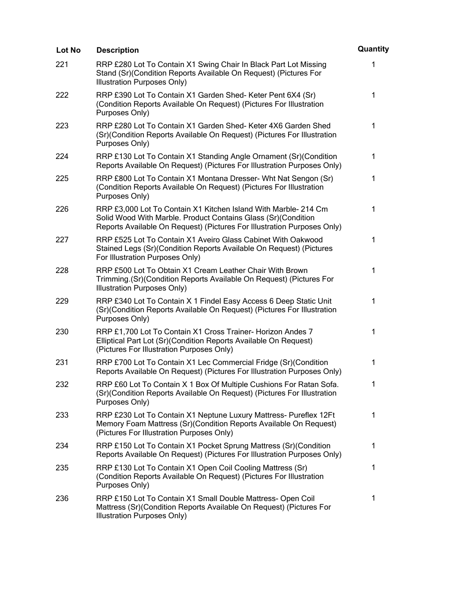| Lot No | <b>Description</b>                                                                                                                                                                                          | Quantity    |
|--------|-------------------------------------------------------------------------------------------------------------------------------------------------------------------------------------------------------------|-------------|
| 221    | RRP £280 Lot To Contain X1 Swing Chair In Black Part Lot Missing<br>Stand (Sr)(Condition Reports Available On Request) (Pictures For<br>Illustration Purposes Only)                                         | 1           |
| 222    | RRP £390 Lot To Contain X1 Garden Shed- Keter Pent 6X4 (Sr)<br>(Condition Reports Available On Request) (Pictures For Illustration<br>Purposes Only)                                                        | $\mathbf 1$ |
| 223    | RRP £280 Lot To Contain X1 Garden Shed- Keter 4X6 Garden Shed<br>(Sr) (Condition Reports Available On Request) (Pictures For Illustration<br>Purposes Only)                                                 | 1           |
| 224    | RRP £130 Lot To Contain X1 Standing Angle Ornament (Sr) (Condition<br>Reports Available On Request) (Pictures For Illustration Purposes Only)                                                               | $\mathbf 1$ |
| 225    | RRP £800 Lot To Contain X1 Montana Dresser- Wht Nat Sengon (Sr)<br>(Condition Reports Available On Request) (Pictures For Illustration<br>Purposes Only)                                                    | 1           |
| 226    | RRP £3,000 Lot To Contain X1 Kitchen Island With Marble- 214 Cm<br>Solid Wood With Marble. Product Contains Glass (Sr)(Condition<br>Reports Available On Request) (Pictures For Illustration Purposes Only) | 1           |
| 227    | RRP £525 Lot To Contain X1 Aveiro Glass Cabinet With Oakwood<br>Stained Legs (Sr)(Condition Reports Available On Request) (Pictures<br>For Illustration Purposes Only)                                      | 1           |
| 228    | RRP £500 Lot To Obtain X1 Cream Leather Chair With Brown<br>Trimming.(Sr)(Condition Reports Available On Request) (Pictures For<br>Illustration Purposes Only)                                              | 1           |
| 229    | RRP £340 Lot To Contain X 1 Findel Easy Access 6 Deep Static Unit<br>(Sr) (Condition Reports Available On Request) (Pictures For Illustration<br>Purposes Only)                                             | 1           |
| 230    | RRP £1,700 Lot To Contain X1 Cross Trainer- Horizon Andes 7<br>Elliptical Part Lot (Sr)(Condition Reports Available On Request)<br>(Pictures For Illustration Purposes Only)                                | 1           |
| 231    | RRP £700 Lot To Contain X1 Lec Commercial Fridge (Sr)(Condition<br>Reports Available On Request) (Pictures For Illustration Purposes Only)                                                                  | 1           |
| 232    | RRP £60 Lot To Contain X 1 Box Of Multiple Cushions For Ratan Sofa.<br>(Sr)(Condition Reports Available On Request) (Pictures For Illustration<br>Purposes Only)                                            | 1           |
| 233    | RRP £230 Lot To Contain X1 Neptune Luxury Mattress- Pureflex 12Ft<br>Memory Foam Mattress (Sr)(Condition Reports Available On Request)<br>(Pictures For Illustration Purposes Only)                         | $\mathbf 1$ |
| 234    | RRP £150 Lot To Contain X1 Pocket Sprung Mattress (Sr)(Condition<br>Reports Available On Request) (Pictures For Illustration Purposes Only)                                                                 | $\mathbf 1$ |
| 235    | RRP £130 Lot To Contain X1 Open Coil Cooling Mattress (Sr)<br>(Condition Reports Available On Request) (Pictures For Illustration<br>Purposes Only)                                                         | 1           |
| 236    | RRP £150 Lot To Contain X1 Small Double Mattress- Open Coil<br>Mattress (Sr)(Condition Reports Available On Request) (Pictures For<br>Illustration Purposes Only)                                           | 1           |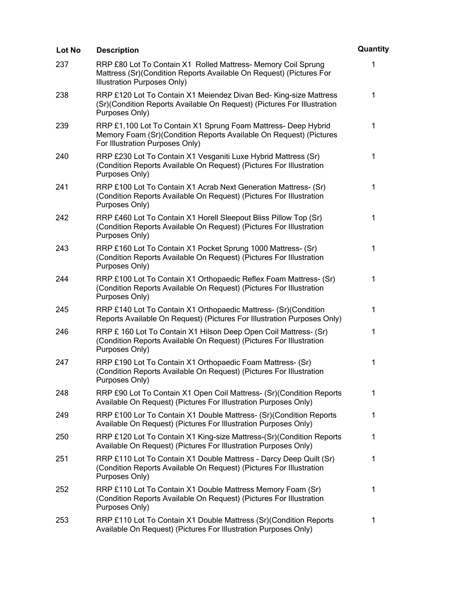| Lot No | <b>Description</b>                                                                                                                                                      | Quantity     |
|--------|-------------------------------------------------------------------------------------------------------------------------------------------------------------------------|--------------|
| 237    | RRP £80 Lot To Contain X1 Rolled Mattress- Memory Coil Sprung<br>Mattress (Sr)(Condition Reports Available On Request) (Pictures For<br>Illustration Purposes Only)     | 1            |
| 238    | RRP £120 Lot To Contain X1 Meiendez Divan Bed- King-size Mattress<br>(Sr)(Condition Reports Available On Request) (Pictures For Illustration<br>Purposes Only)          | $\mathbf 1$  |
| 239    | RRP £1,100 Lot To Contain X1 Sprung Foam Mattress- Deep Hybrid<br>Memory Foam (Sr)(Condition Reports Available On Request) (Pictures<br>For Illustration Purposes Only) | $\mathbf 1$  |
| 240    | RRP £230 Lot To Contain X1 Vesganiti Luxe Hybrid Mattress (Sr)<br>(Condition Reports Available On Request) (Pictures For Illustration<br>Purposes Only)                 | 1            |
| 241    | RRP £100 Lot To Contain X1 Acrab Next Generation Mattress- (Sr)<br>(Condition Reports Available On Request) (Pictures For Illustration<br>Purposes Only)                | $\mathbf 1$  |
| 242    | RRP £460 Lot To Contain X1 Horell Sleepout Bliss Pillow Top (Sr)<br>(Condition Reports Available On Request) (Pictures For Illustration<br>Purposes Only)               | 1            |
| 243    | RRP £160 Lot To Contain X1 Pocket Sprung 1000 Mattress- (Sr)<br>(Condition Reports Available On Request) (Pictures For Illustration<br>Purposes Only)                   | $\mathbf 1$  |
| 244    | RRP £100 Lot To Contain X1 Orthopaedic Reflex Foam Mattress- (Sr)<br>(Condition Reports Available On Request) (Pictures For Illustration<br>Purposes Only)              | 1            |
| 245    | RRP £140 Lot To Contain X1 Orthopaedic Mattress- (Sr)(Condition<br>Reports Available On Request) (Pictures For Illustration Purposes Only)                              | $\mathbf{1}$ |
| 246    | RRP £ 160 Lot To Contain X1 Hilson Deep Open Coil Mattress- (Sr)<br>(Condition Reports Available On Request) (Pictures For Illustration<br>Purposes Only)               | 1            |
| 247    | RRP £190 Lot To Contain X1 Orthopaedic Foam Mattress- (Sr)<br>(Condition Reports Available On Request) (Pictures For Illustration<br>Purposes Only)                     | 1            |
| 248    | RRP £90 Lot To Contain X1 Open Coil Mattress- (Sr)(Condition Reports<br>Available On Request) (Pictures For Illustration Purposes Only)                                 | 1            |
| 249    | RRP £100 Lor To Contain X1 Double Mattress- (Sr)(Condition Reports<br>Available On Request) (Pictures For Illustration Purposes Only)                                   | 1            |
| 250    | RRP £120 Lot To Contain X1 King-size Mattress-(Sr)(Condition Reports<br>Available On Request) (Pictures For Illustration Purposes Only)                                 | 1            |
| 251    | RRP £110 Lot To Contain X1 Double Mattress - Darcy Deep Quilt (Sr)<br>(Condition Reports Available On Request) (Pictures For Illustration<br>Purposes Only)             | 1            |
| 252    | RRP £110 Lot To Contain X1 Double Mattress Memory Foam (Sr)<br>(Condition Reports Available On Request) (Pictures For Illustration<br>Purposes Only)                    | 1            |
| 253    | RRP £110 Lot To Contain X1 Double Mattress (Sr) (Condition Reports<br>Available On Request) (Pictures For Illustration Purposes Only)                                   | 1            |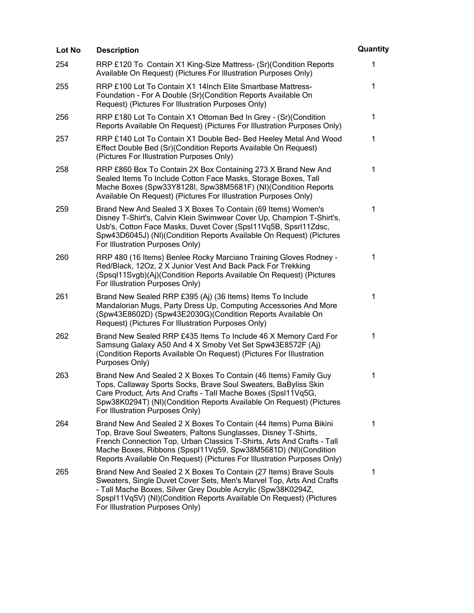| Lot No | <b>Description</b>                                                                                                                                                                                                                                                                                                                                        | Quantity     |
|--------|-----------------------------------------------------------------------------------------------------------------------------------------------------------------------------------------------------------------------------------------------------------------------------------------------------------------------------------------------------------|--------------|
| 254    | RRP £120 To Contain X1 King-Size Mattress- (Sr) (Condition Reports<br>Available On Request) (Pictures For Illustration Purposes Only)                                                                                                                                                                                                                     | $\mathbf{1}$ |
| 255    | RRP £100 Lot To Contain X1 14 Inch Elite Smartbase Mattress-<br>Foundation - For A Double (Sr)(Condition Reports Available On<br>Request) (Pictures For Illustration Purposes Only)                                                                                                                                                                       | $\mathbf 1$  |
| 256    | RRP £180 Lot To Contain X1 Ottoman Bed In Grey - (Sr)(Condition<br>Reports Available On Request) (Pictures For Illustration Purposes Only)                                                                                                                                                                                                                | $\mathbf 1$  |
| 257    | RRP £140 Lot To Contain X1 Double Bed- Bed Heeley Metal And Wood<br>Effect Double Bed (Sr)(Condition Reports Available On Request)<br>(Pictures For Illustration Purposes Only)                                                                                                                                                                           | 1            |
| 258    | RRP £860 Box To Contain 2X Box Containing 273 X Brand New And<br>Sealed Items To Include Cotton Face Masks, Storage Boxes, Tall<br>Mache Boxes (Spw33Y8128I, Spw38M5681F) (NI)(Condition Reports<br>Available On Request) (Pictures For Illustration Purposes Only)                                                                                       | 1            |
| 259    | Brand New And Sealed 3 X Boxes To Contain (69 Items) Women's<br>Disney T-Shirt's, Calvin Klein Swimwear Cover Up, Champion T-Shirt's,<br>Usb's, Cotton Face Masks, Duvet Cover (SpsI11Vq5B, SpsrI11Zdsc,<br>Spw43D6045J) (NI)(Condition Reports Available On Request) (Pictures<br>For Illustration Purposes Only)                                        | 1            |
| 260    | RRP 480 (16 Items) Benlee Rocky Marciano Training Gloves Rodney -<br>Red/Black, 12Oz, 2 X Junior Vest And Back Pack For Trekking<br>(Spsql11Svgb)(Aj)(Condition Reports Available On Request) (Pictures<br>For Illustration Purposes Only)                                                                                                                | 1            |
| 261    | Brand New Sealed RRP £395 (Aj) (36 Items) Items To Include<br>Mandalorian Mugs, Party Dress Up, Computing Accessories And More<br>(Spw43E8602D) (Spw43E2030G)(Condition Reports Available On<br>Request) (Pictures For Illustration Purposes Only)                                                                                                        | 1            |
| 262    | Brand New Sealed RRP £435 Items To Include 46 X Memory Card For<br>Samsung Galaxy A50 And 4 X Smoby Vet Set Spw43E8572F (Aj)<br>(Condition Reports Available On Request) (Pictures For Illustration<br>Purposes Only)                                                                                                                                     | 1            |
| 263    | Brand New And Sealed 2 X Boxes To Contain (46 Items) Family Guy<br>Tops, Callaway Sports Socks, Brave Soul Sweaters, BaByliss Skin<br>Care Product, Arts And Crafts - Tall Mache Boxes (SpsI11Vq5G,<br>Spw38K0294T) (NI)(Condition Reports Available On Request) (Pictures<br>For Illustration Purposes Only)                                             | 1            |
| 264    | Brand New And Sealed 2 X Boxes To Contain (44 Items) Puma Bikini<br>Top, Brave Soul Sweaters, Paltons Sunglasses, Disney T-Shirts,<br>French Connection Top, Urban Classics T-Shirts, Arts And Crafts - Tall<br>Mache Boxes, Ribbons (Spspl11Vq59, Spw38M5681D) (NI)(Condition<br>Reports Available On Request) (Pictures For Illustration Purposes Only) | 1            |
| 265    | Brand New And Sealed 2 X Boxes To Contain (27 Items) Brave Souls<br>Sweaters, Single Duvet Cover Sets, Men's Marvel Top, Arts And Crafts<br>- Tall Mache Boxes, Silver Grey Double Acrylic (Spw38K0294Z,<br>Spspl11Vq5V) (NI)(Condition Reports Available On Request) (Pictures<br>For Illustration Purposes Only)                                        | 1            |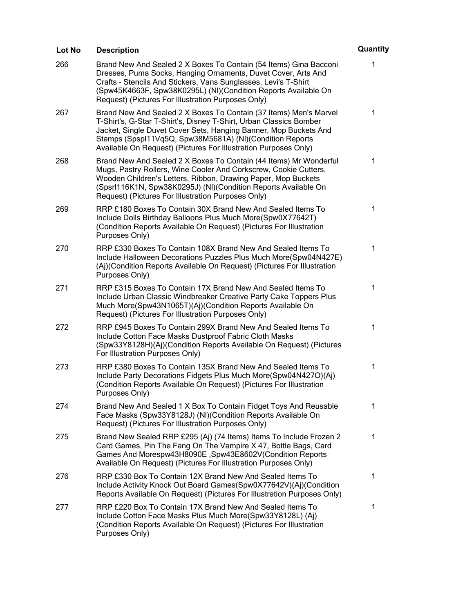| Lot No | <b>Description</b>                                                                                                                                                                                                                                                                                                                         | Quantity    |
|--------|--------------------------------------------------------------------------------------------------------------------------------------------------------------------------------------------------------------------------------------------------------------------------------------------------------------------------------------------|-------------|
| 266    | Brand New And Sealed 2 X Boxes To Contain (54 Items) Gina Bacconi<br>Dresses, Puma Socks, Hanging Ornaments, Duvet Cover, Arts And<br>Crafts - Stencils And Stickers, Vans Sunglasses, Levi's T-Shirt<br>(Spw45K4663F, Spw38K0295L) (NI)(Condition Reports Available On<br>Request) (Pictures For Illustration Purposes Only)              | 1           |
| 267    | Brand New And Sealed 2 X Boxes To Contain (37 Items) Men's Marvel<br>T-Shirt's, G-Star T-Shirt's, Disney T-Shirt, Urban Classics Bomber<br>Jacket, Single Duvet Cover Sets, Hanging Banner, Mop Buckets And<br>Stamps (Spspl11Vq5Q, Spw38M5681A) (NI)(Condition Reports<br>Available On Request) (Pictures For Illustration Purposes Only) | 1           |
| 268    | Brand New And Sealed 2 X Boxes To Contain (44 Items) Mr Wonderful<br>Mugs, Pastry Rollers, Wine Cooler And Corkscrew, Cookie Cutters,<br>Wooden Children's Letters, Ribbon, Drawing Paper, Mop Buckets<br>(Spsrl116K1N, Spw38K0295J) (NI)(Condition Reports Available On<br>Request) (Pictures For Illustration Purposes Only)             | 1           |
| 269    | RRP £180 Boxes To Contain 30X Brand New And Sealed Items To<br>Include Dolls Birthday Balloons Plus Much More(Spw0X77642T)<br>(Condition Reports Available On Request) (Pictures For Illustration<br>Purposes Only)                                                                                                                        | 1           |
| 270    | RRP £330 Boxes To Contain 108X Brand New And Sealed Items To<br>Include Halloween Decorations Puzzles Plus Much More(Spw04N427E)<br>(Aj)(Condition Reports Available On Request) (Pictures For Illustration<br>Purposes Only)                                                                                                              | 1           |
| 271    | RRP £315 Boxes To Contain 17X Brand New And Sealed Items To<br>Include Urban Classic Windbreaker Creative Party Cake Toppers Plus<br>Much More(Spw43N1065T)(Aj)(Condition Reports Available On<br>Request) (Pictures For Illustration Purposes Only)                                                                                       | 1           |
| 272    | RRP £945 Boxes To Contain 299X Brand New And Sealed Items To<br>Include Cotton Face Masks Dustproof Fabric Cloth Masks<br>(Spw33Y8128H)(Aj)(Condition Reports Available On Request) (Pictures<br>For Illustration Purposes Only)                                                                                                           | 1           |
| 273    | RRP £380 Boxes To Contain 135X Brand New And Sealed Items To<br>Include Party Decorations Fidgets Plus Much More(Spw04N427O)(Aj)<br>(Condition Reports Available On Request) (Pictures For Illustration<br>Purposes Only)                                                                                                                  | 1           |
| 274    | Brand New And Sealed 1 X Box To Contain Fidget Toys And Reusable<br>Face Masks (Spw33Y8128J) (NI)(Condition Reports Available On<br>Request) (Pictures For Illustration Purposes Only)                                                                                                                                                     | 1           |
| 275    | Brand New Sealed RRP £295 (Aj) (74 Items) Items To Include Frozen 2<br>Card Games, Pin The Fang On The Vampire X 47, Bottle Bags, Card<br>Games And Morespw43H8090E, Spw43E8602V(Condition Reports<br>Available On Request) (Pictures For Illustration Purposes Only)                                                                      | $\mathbf 1$ |
| 276    | RRP £330 Box To Contain 12X Brand New And Sealed Items To<br>Include Activity Knock Out Board Games (Spw0X77642V) (Aj) (Condition<br>Reports Available On Request) (Pictures For Illustration Purposes Only)                                                                                                                               | $\mathbf 1$ |
| 277    | RRP £220 Box To Contain 17X Brand New And Sealed Items To<br>Include Cotton Face Masks Plus Much More(Spw33Y8128L) (Aj)<br>(Condition Reports Available On Request) (Pictures For Illustration<br>Purposes Only)                                                                                                                           | 1           |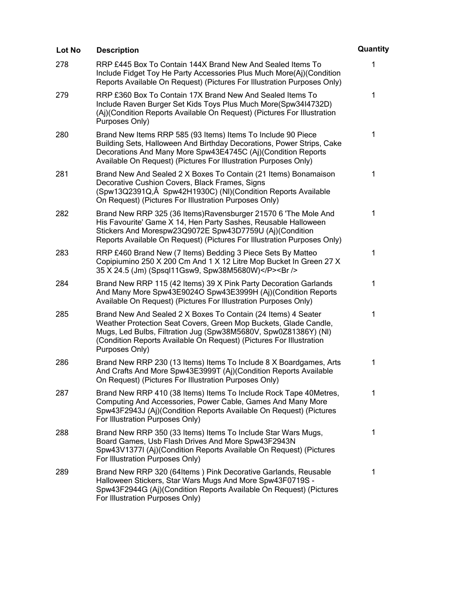| Lot No | <b>Description</b>                                                                                                                                                                                                                                                                            | Quantity     |
|--------|-----------------------------------------------------------------------------------------------------------------------------------------------------------------------------------------------------------------------------------------------------------------------------------------------|--------------|
| 278    | RRP £445 Box To Contain 144X Brand New And Sealed Items To<br>Include Fidget Toy He Party Accessories Plus Much More(Aj)(Condition<br>Reports Available On Request) (Pictures For Illustration Purposes Only)                                                                                 | $\mathbf{1}$ |
| 279    | RRP £360 Box To Contain 17X Brand New And Sealed Items To<br>Include Raven Burger Set Kids Toys Plus Much More(Spw3414732D)<br>(Aj)(Condition Reports Available On Request) (Pictures For Illustration<br>Purposes Only)                                                                      | 1            |
| 280    | Brand New Items RRP 585 (93 Items) Items To Include 90 Piece<br>Building Sets, Halloween And Birthday Decorations, Power Strips, Cake<br>Decorations And Many More Spw43E4745C (Aj)(Condition Reports<br>Available On Request) (Pictures For Illustration Purposes Only)                      | $\mathbf{1}$ |
| 281    | Brand New And Sealed 2 X Boxes To Contain (21 Items) Bonamaison<br>Decorative Cushion Covers, Black Frames, Signs<br>(Spw13Q2391Q, Â Spw42H1930C) (NI) (Condition Reports Available<br>On Request) (Pictures For Illustration Purposes Only)                                                  | 1            |
| 282    | Brand New RRP 325 (36 Items) Ravensburger 21570 6 'The Mole And<br>His Favourite' Game X 14, Hen Party Sashes, Reusable Halloween<br>Stickers And Morespw23Q9072E Spw43D7759U (Aj)(Condition<br>Reports Available On Request) (Pictures For Illustration Purposes Only)                       | $\mathbf{1}$ |
| 283    | RRP £460 Brand New (7 Items) Bedding 3 Piece Sets By Matteo<br>Copipiumino 250 X 200 Cm And 1 X 12 Litre Mop Bucket In Green 27 X<br>35 X 24.5 (Jm) (Spsql11Gsw9, Spw38M5680W)<br>                                                                                                            | 1            |
| 284    | Brand New RRP 115 (42 Items) 39 X Pink Party Decoration Garlands<br>And Many More Spw43E9024O Spw43E3999H (Aj)(Condition Reports<br>Available On Request) (Pictures For Illustration Purposes Only)                                                                                           | 1            |
| 285    | Brand New And Sealed 2 X Boxes To Contain (24 Items) 4 Seater<br>Weather Protection Seat Covers, Green Mop Buckets, Glade Candle,<br>Mugs, Led Bulbs, Filtration Jug (Spw38M5680V, Spw0Z81386Y) (NI)<br>(Condition Reports Available On Request) (Pictures For Illustration<br>Purposes Only) | 1            |
| 286    | Brand New RRP 230 (13 Items) Items To Include 8 X Boardgames, Arts<br>And Crafts And More Spw43E3999T (Aj)(Condition Reports Available<br>On Request) (Pictures For Illustration Purposes Only)                                                                                               | 1            |
| 287    | Brand New RRP 410 (38 Items) Items To Include Rock Tape 40Metres,<br>Computing And Accessories, Power Cable, Games And Many More<br>Spw43F2943J (Aj)(Condition Reports Available On Request) (Pictures<br>For Illustration Purposes Only)                                                     | 1            |
| 288    | Brand New RRP 350 (33 Items) Items To Include Star Wars Mugs,<br>Board Games, Usb Flash Drives And More Spw43F2943N<br>Spw43V1377I (Aj)(Condition Reports Available On Request) (Pictures<br>For Illustration Purposes Only)                                                                  | 1            |
| 289    | Brand New RRP 320 (64Items) Pink Decorative Garlands, Reusable<br>Halloween Stickers, Star Wars Mugs And More Spw43F0719S -<br>Spw43F2944G (Aj)(Condition Reports Available On Request) (Pictures<br>For Illustration Purposes Only)                                                          | 1            |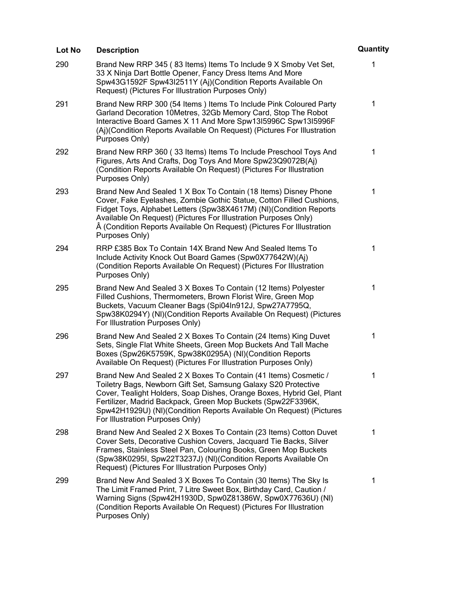| Lot No | <b>Description</b>                                                                                                                                                                                                                                                                                                                                                                   | Quantity |
|--------|--------------------------------------------------------------------------------------------------------------------------------------------------------------------------------------------------------------------------------------------------------------------------------------------------------------------------------------------------------------------------------------|----------|
| 290    | Brand New RRP 345 (83 Items) Items To Include 9 X Smoby Vet Set,<br>33 X Ninja Dart Bottle Opener, Fancy Dress Items And More<br>Spw43G1592F Spw43I2511Y (Aj)(Condition Reports Available On<br>Request) (Pictures For Illustration Purposes Only)                                                                                                                                   | 1        |
| 291    | Brand New RRP 300 (54 Items) Items To Include Pink Coloured Party<br>Garland Decoration 10Metres, 32Gb Memory Card, Stop The Robot<br>Interactive Board Games X 11 And More Spw13I5996C Spw13I5996F<br>(Aj)(Condition Reports Available On Request) (Pictures For Illustration<br>Purposes Only)                                                                                     | 1        |
| 292    | Brand New RRP 360 (33 Items) Items To Include Preschool Toys And<br>Figures, Arts And Crafts, Dog Toys And More Spw23Q9072B(Aj)<br>(Condition Reports Available On Request) (Pictures For Illustration<br>Purposes Only)                                                                                                                                                             | 1        |
| 293    | Brand New And Sealed 1 X Box To Contain (18 Items) Disney Phone<br>Cover, Fake Eyelashes, Zombie Gothic Statue, Cotton Filled Cushions,<br>Fidget Toys, Alphabet Letters (Spw38X4617M) (NI)(Condition Reports<br>Available On Request) (Pictures For Illustration Purposes Only)<br>(Condition Reports Available On Request) (Pictures For Illustration<br>Purposes Only)            | 1        |
| 294    | RRP £385 Box To Contain 14X Brand New And Sealed Items To<br>Include Activity Knock Out Board Games (Spw0X77642W)(Aj)<br>(Condition Reports Available On Request) (Pictures For Illustration<br>Purposes Only)                                                                                                                                                                       | 1        |
| 295    | Brand New And Sealed 3 X Boxes To Contain (12 Items) Polyester<br>Filled Cushions, Thermometers, Brown Florist Wire, Green Mop<br>Buckets, Vacuum Cleaner Bags (Spi04In912J, Spw27A7795Q,<br>Spw38K0294Y) (NI)(Condition Reports Available On Request) (Pictures<br>For Illustration Purposes Only)                                                                                  | 1        |
| 296    | Brand New And Sealed 2 X Boxes To Contain (24 Items) King Duvet<br>Sets, Single Flat White Sheets, Green Mop Buckets And Tall Mache<br>Boxes (Spw26K5759K, Spw38K0295A) (NI)(Condition Reports<br>Available On Request) (Pictures For Illustration Purposes Only)                                                                                                                    | 1        |
| 297    | Brand New And Sealed 2 X Boxes To Contain (41 Items) Cosmetic /<br>Toiletry Bags, Newborn Gift Set, Samsung Galaxy S20 Protective<br>Cover, Tealight Holders, Soap Dishes, Orange Boxes, Hybrid Gel, Plant<br>Fertilizer, Madrid Backpack, Green Mop Buckets (Spw22F3396K,<br>Spw42H1929U) (NI)(Condition Reports Available On Request) (Pictures<br>For Illustration Purposes Only) | 1        |
| 298    | Brand New And Sealed 2 X Boxes To Contain (23 Items) Cotton Duvet<br>Cover Sets, Decorative Cushion Covers, Jacquard Tie Backs, Silver<br>Frames, Stainless Steel Pan, Colouring Books, Green Mop Buckets<br>(Spw38K0295I, Spw22T3237J) (NI)(Condition Reports Available On<br>Request) (Pictures For Illustration Purposes Only)                                                    | 1        |
| 299    | Brand New And Sealed 3 X Boxes To Contain (30 Items) The Sky Is<br>The Limit Framed Print, 7 Litre Sweet Box, Birthday Card, Caution /<br>Warning Signs (Spw42H1930D, Spw0Z81386W, Spw0X77636U) (NI)<br>(Condition Reports Available On Request) (Pictures For Illustration<br>Purposes Only)                                                                                        | 1        |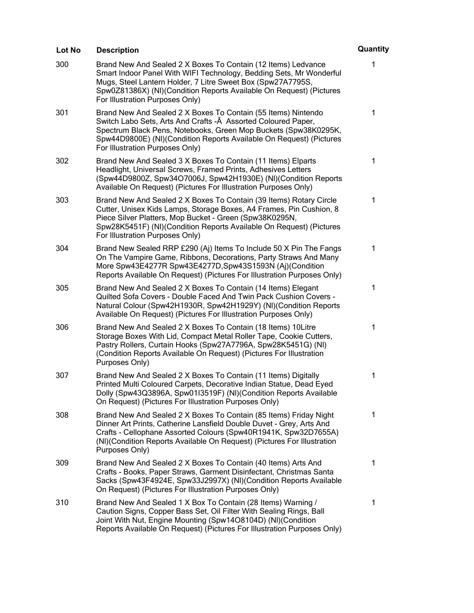| Lot No | <b>Description</b>                                                                                                                                                                                                                                                                                             | Quantity    |
|--------|----------------------------------------------------------------------------------------------------------------------------------------------------------------------------------------------------------------------------------------------------------------------------------------------------------------|-------------|
| 300    | Brand New And Sealed 2 X Boxes To Contain (12 Items) Ledvance<br>Smart Indoor Panel With WIFI Technology, Bedding Sets, Mr Wonderful<br>Mugs, Steel Lantern Holder, 7 Litre Sweet Box (Spw27A7795S,<br>Spw0Z81386X) (NI)(Condition Reports Available On Request) (Pictures<br>For Illustration Purposes Only)  | 1           |
| 301    | Brand New And Sealed 2 X Boxes To Contain (55 Items) Nintendo<br>Switch Labo Sets, Arts And Crafts - Â Assorted Coloured Paper,<br>Spectrum Black Pens, Notebooks, Green Mop Buckets (Spw38K0295K,<br>Spw44D9800E) (NI)(Condition Reports Available On Request) (Pictures<br>For Illustration Purposes Only)   | 1           |
| 302    | Brand New And Sealed 3 X Boxes To Contain (11 Items) Elparts<br>Headlight, Universal Screws, Framed Prints, Adhesives Letters<br>(Spw44D9800Z, Spw34O7006J, Spw42H1930E) (NI)(Condition Reports<br>Available On Request) (Pictures For Illustration Purposes Only)                                             | 1           |
| 303    | Brand New And Sealed 2 X Boxes To Contain (39 Items) Rotary Circle<br>Cutter, Unisex Kids Lamps, Storage Boxes, A4 Frames, Pin Cushion, 8<br>Piece Silver Platters, Mop Bucket - Green (Spw38K0295N,<br>Spw28K5451F) (NI)(Condition Reports Available On Request) (Pictures<br>For Illustration Purposes Only) | 1           |
| 304    | Brand New Sealed RRP £290 (Aj) Items To Include 50 X Pin The Fangs<br>On The Vampire Game, Ribbons, Decorations, Party Straws And Many<br>More Spw43E4277R Spw43E4277D, Spw43S1593N (Aj)(Condition<br>Reports Available On Request) (Pictures For Illustration Purposes Only)                                  | 1           |
| 305    | Brand New And Sealed 2 X Boxes To Contain (14 Items) Elegant<br>Quilted Sofa Covers - Double Faced And Twin Pack Cushion Covers -<br>Natural Colour (Spw42H1930R, Spw42H1929Y) (NI)(Condition Reports<br>Available On Request) (Pictures For Illustration Purposes Only)                                       | 1           |
| 306    | Brand New And Sealed 2 X Boxes To Contain (18 Items) 10 Litre<br>Storage Boxes With Lid, Compact Metal Roller Tape, Cookie Cutters,<br>Pastry Rollers, Curtain Hooks (Spw27A7796A, Spw28K5451G) (NI)<br>(Condition Reports Available On Request) (Pictures For Illustration<br>Purposes Only)                  | 1           |
| 307    | Brand New And Sealed 2 X Boxes To Contain (11 Items) Digitally<br>Printed Multi Coloured Carpets, Decorative Indian Statue, Dead Eyed<br>Dolly (Spw43Q3896A, Spw01I3519F) (NI)(Condition Reports Available<br>On Request) (Pictures For Illustration Purposes Only)                                            | 1           |
| 308    | Brand New And Sealed 2 X Boxes To Contain (85 Items) Friday Night<br>Dinner Art Prints, Catherine Lansfield Double Duvet - Grey, Arts And<br>Crafts - Cellophane Assorted Colours (Spw40R1941K, Spw32D7655A)<br>(NI)(Condition Reports Available On Request) (Pictures For Illustration<br>Purposes Only)      | 1           |
| 309    | Brand New And Sealed 2 X Boxes To Contain (40 Items) Arts And<br>Crafts - Books, Paper Straws, Garment Disinfectant, Christmas Santa<br>Sacks (Spw43F4924E, Spw33J2997X) (NI)(Condition Reports Available<br>On Request) (Pictures For Illustration Purposes Only)                                             | 1           |
| 310    | Brand New And Sealed 1 X Box To Contain (28 Items) Warning /<br>Caution Signs, Copper Bass Set, Oil Filter With Sealing Rings, Ball<br>Joint With Nut, Engine Mounting (Spw14O8104D) (NI)(Condition<br>Reports Available On Request) (Pictures For Illustration Purposes Only)                                 | $\mathbf 1$ |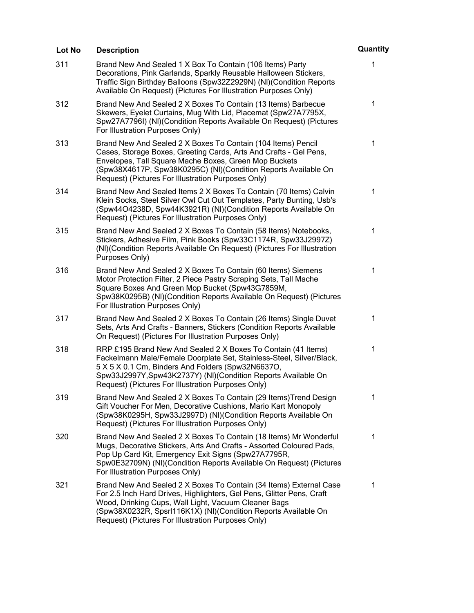| Lot No | <b>Description</b>                                                                                                                                                                                                                                                                                                          | Quantity     |
|--------|-----------------------------------------------------------------------------------------------------------------------------------------------------------------------------------------------------------------------------------------------------------------------------------------------------------------------------|--------------|
| 311    | Brand New And Sealed 1 X Box To Contain (106 Items) Party<br>Decorations, Pink Garlands, Sparkly Reusable Halloween Stickers,<br>Traffic Sign Birthday Balloons (Spw32Z2929N) (NI)(Condition Reports<br>Available On Request) (Pictures For Illustration Purposes Only)                                                     | 1            |
| 312    | Brand New And Sealed 2 X Boxes To Contain (13 Items) Barbecue<br>Skewers, Eyelet Curtains, Mug With Lid, Placemat (Spw27A7795X,<br>Spw27A7796I) (NI)(Condition Reports Available On Request) (Pictures<br>For Illustration Purposes Only)                                                                                   | 1            |
| 313    | Brand New And Sealed 2 X Boxes To Contain (104 Items) Pencil<br>Cases, Storage Boxes, Greeting Cards, Arts And Crafts - Gel Pens,<br>Envelopes, Tall Square Mache Boxes, Green Mop Buckets<br>(Spw38X4617P, Spw38K0295C) (NI)(Condition Reports Available On<br>Request) (Pictures For Illustration Purposes Only)          | 1            |
| 314    | Brand New And Sealed Items 2 X Boxes To Contain (70 Items) Calvin<br>Klein Socks, Steel Silver Owl Cut Out Templates, Party Bunting, Usb's<br>(Spw44O4238D, Spw44K3921R) (NI)(Condition Reports Available On<br>Request) (Pictures For Illustration Purposes Only)                                                          | 1            |
| 315    | Brand New And Sealed 2 X Boxes To Contain (58 Items) Notebooks,<br>Stickers, Adhesive Film, Pink Books (Spw33C1174R, Spw33J2997Z)<br>(NI)(Condition Reports Available On Request) (Pictures For Illustration<br>Purposes Only)                                                                                              | $\mathbf{1}$ |
| 316    | Brand New And Sealed 2 X Boxes To Contain (60 Items) Siemens<br>Motor Protection Filter, 2 Piece Pastry Scraping Sets, Tall Mache<br>Square Boxes And Green Mop Bucket (Spw43G7859M,<br>Spw38K0295B) (NI)(Condition Reports Available On Request) (Pictures<br>For Illustration Purposes Only)                              | 1            |
| 317    | Brand New And Sealed 2 X Boxes To Contain (26 Items) Single Duvet<br>Sets, Arts And Crafts - Banners, Stickers (Condition Reports Available<br>On Request) (Pictures For Illustration Purposes Only)                                                                                                                        | $\mathbf{1}$ |
| 318    | RRP £195 Brand New And Sealed 2 X Boxes To Contain (41 Items)<br>Fackelmann Male/Female Doorplate Set, Stainless-Steel, Silver/Black,<br>5 X 5 X 0.1 Cm, Binders And Folders (Spw32N6637O,<br>Spw33J2997Y, Spw43K2737Y) (NI) (Condition Reports Available On<br>Request) (Pictures For Illustration Purposes Only)          | 1            |
| 319    | Brand New And Sealed 2 X Boxes To Contain (29 Items) Trend Design<br>Gift Voucher For Men, Decorative Cushions, Mario Kart Monopoly<br>(Spw38K0295H, Spw33J2997D) (NI)(Condition Reports Available On<br>Request) (Pictures For Illustration Purposes Only)                                                                 | 1            |
| 320    | Brand New And Sealed 2 X Boxes To Contain (18 Items) Mr Wonderful<br>Mugs, Decorative Stickers, Arts And Crafts - Assorted Coloured Pads,<br>Pop Up Card Kit, Emergency Exit Signs (Spw27A7795R,<br>Spw0E32709N) (NI)(Condition Reports Available On Request) (Pictures<br>For Illustration Purposes Only)                  | 1            |
| 321    | Brand New And Sealed 2 X Boxes To Contain (34 Items) External Case<br>For 2.5 Inch Hard Drives, Highlighters, Gel Pens, Glitter Pens, Craft<br>Wood, Drinking Cups, Wall Light, Vacuum Cleaner Bags<br>(Spw38X0232R, Spsrl116K1X) (NI)(Condition Reports Available On<br>Request) (Pictures For Illustration Purposes Only) | 1            |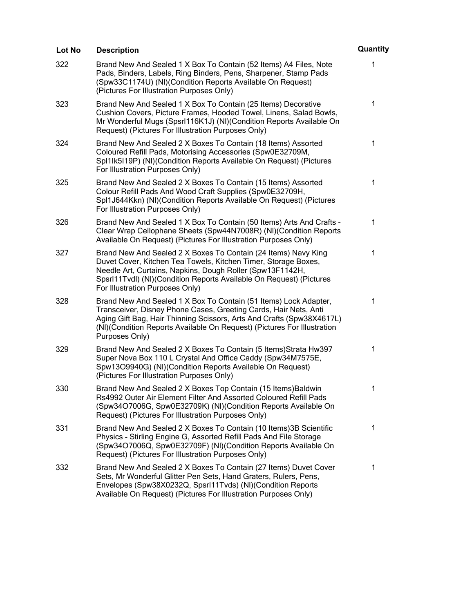| Lot No | <b>Description</b>                                                                                                                                                                                                                                                                                         | Quantity    |
|--------|------------------------------------------------------------------------------------------------------------------------------------------------------------------------------------------------------------------------------------------------------------------------------------------------------------|-------------|
| 322    | Brand New And Sealed 1 X Box To Contain (52 Items) A4 Files, Note<br>Pads, Binders, Labels, Ring Binders, Pens, Sharpener, Stamp Pads<br>(Spw33C1174U) (NI)(Condition Reports Available On Request)<br>(Pictures For Illustration Purposes Only)                                                           | 1           |
| 323    | Brand New And Sealed 1 X Box To Contain (25 Items) Decorative<br>Cushion Covers, Picture Frames, Hooded Towel, Linens, Salad Bowls,<br>Mr Wonderful Mugs (Spsrl116K1J) (NI)(Condition Reports Available On<br>Request) (Pictures For Illustration Purposes Only)                                           | 1           |
| 324    | Brand New And Sealed 2 X Boxes To Contain (18 Items) Assorted<br>Coloured Refill Pads, Motorising Accessories (Spw0E32709M,<br>SpI1Ik5I19P) (NI)(Condition Reports Available On Request) (Pictures<br>For Illustration Purposes Only)                                                                      | $\mathbf 1$ |
| 325    | Brand New And Sealed 2 X Boxes To Contain (15 Items) Assorted<br>Colour Refill Pads And Wood Craft Supplies (Spw0E32709H,<br>SpI1J644Kkn) (NI)(Condition Reports Available On Request) (Pictures<br>For Illustration Purposes Only)                                                                        | 1           |
| 326    | Brand New And Sealed 1 X Box To Contain (50 Items) Arts And Crafts -<br>Clear Wrap Cellophane Sheets (Spw44N7008R) (NI)(Condition Reports<br>Available On Request) (Pictures For Illustration Purposes Only)                                                                                               | 1           |
| 327    | Brand New And Sealed 2 X Boxes To Contain (24 Items) Navy King<br>Duvet Cover, Kitchen Tea Towels, Kitchen Timer, Storage Boxes,<br>Needle Art, Curtains, Napkins, Dough Roller (Spw13F1142H,<br>Spsrl11Tvdl) (NI)(Condition Reports Available On Request) (Pictures<br>For Illustration Purposes Only)    | 1           |
| 328    | Brand New And Sealed 1 X Box To Contain (51 Items) Lock Adapter,<br>Transceiver, Disney Phone Cases, Greeting Cards, Hair Nets, Anti<br>Aging Gift Bag, Hair Thinning Scissors, Arts And Crafts (Spw38X4617L)<br>(NI)(Condition Reports Available On Request) (Pictures For Illustration<br>Purposes Only) | 1           |
| 329    | Brand New And Sealed 2 X Boxes To Contain (5 Items) Strata Hw397<br>Super Nova Box 110 L Crystal And Office Caddy (Spw34M7575E,<br>Spw13O9940G) (NI)(Condition Reports Available On Request)<br>(Pictures For Illustration Purposes Only)                                                                  | 1           |
| 330    | Brand New And Sealed 2 X Boxes Top Contain (15 Items) Baldwin<br>Rs4992 Outer Air Element Filter And Assorted Coloured Refill Pads<br>(Spw34O7006G, Spw0E32709K) (NI)(Condition Reports Available On<br>Request) (Pictures For Illustration Purposes Only)                                                 | 1           |
| 331    | Brand New And Sealed 2 X Boxes To Contain (10 Items) 3B Scientific<br>Physics - Stirling Engine G, Assorted Refill Pads And File Storage<br>(Spw34O7006Q, Spw0E32709F) (NI)(Condition Reports Available On<br>Request) (Pictures For Illustration Purposes Only)                                           | 1           |
| 332    | Brand New And Sealed 2 X Boxes To Contain (27 Items) Duvet Cover<br>Sets, Mr Wonderful Glitter Pen Sets, Hand Graters, Rulers, Pens,<br>Envelopes (Spw38X0232Q, Spsrl11Tvds) (NI)(Condition Reports<br>Available On Request) (Pictures For Illustration Purposes Only)                                     | 1           |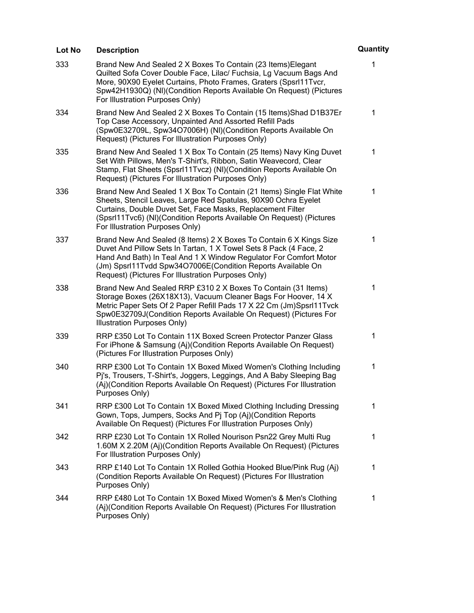| Lot No | <b>Description</b>                                                                                                                                                                                                                                                                                                                | Quantity    |
|--------|-----------------------------------------------------------------------------------------------------------------------------------------------------------------------------------------------------------------------------------------------------------------------------------------------------------------------------------|-------------|
| 333    | Brand New And Sealed 2 X Boxes To Contain (23 Items) Elegant<br>Quilted Sofa Cover Double Face, Lilac/ Fuchsia, Lg Vacuum Bags And<br>More, 90X90 Eyelet Curtains, Photo Frames, Graters (Spsrl11Tvcr,<br>Spw42H1930Q) (NI)(Condition Reports Available On Request) (Pictures<br>For Illustration Purposes Only)                  | 1           |
| 334    | Brand New And Sealed 2 X Boxes To Contain (15 Items) Shad D1B37Er<br>Top Case Accessory, Unpainted And Assorted Refill Pads<br>(Spw0E32709L, Spw34O7006H) (NI)(Condition Reports Available On<br>Request) (Pictures For Illustration Purposes Only)                                                                               | 1           |
| 335    | Brand New And Sealed 1 X Box To Contain (25 Items) Navy King Duvet<br>Set With Pillows, Men's T-Shirt's, Ribbon, Satin Weavecord, Clear<br>Stamp, Flat Sheets (Spsrl11Tvcz) (NI)(Condition Reports Available On<br>Request) (Pictures For Illustration Purposes Only)                                                             | $\mathbf 1$ |
| 336    | Brand New And Sealed 1 X Box To Contain (21 Items) Single Flat White<br>Sheets, Stencil Leaves, Large Red Spatulas, 90X90 Ochra Eyelet<br>Curtains, Double Duvet Set, Face Masks, Replacement Filter<br>(Spsrl11Tvc6) (NI)(Condition Reports Available On Request) (Pictures<br>For Illustration Purposes Only)                   | 1           |
| 337    | Brand New And Sealed (8 Items) 2 X Boxes To Contain 6 X Kings Size<br>Duvet And Pillow Sets In Tartan, 1 X Towel Sets 8 Pack (4 Face, 2<br>Hand And Bath) In Teal And 1 X Window Regulator For Comfort Motor<br>(Jm) Spsrl11Tvdd Spw34O7006E(Condition Reports Available On<br>Request) (Pictures For Illustration Purposes Only) | 1           |
| 338    | Brand New And Sealed RRP £310 2 X Boxes To Contain (31 Items)<br>Storage Boxes (26X18X13), Vacuum Cleaner Bags For Hoover, 14 X<br>Metric Paper Sets Of 2 Paper Refill Pads 17 X 22 Cm (Jm)Spsrl11Tvck<br>Spw0E32709J(Condition Reports Available On Request) (Pictures For<br>Illustration Purposes Only)                        | 1           |
| 339    | RRP £350 Lot To Contain 11X Boxed Screen Protector Panzer Glass<br>For iPhone & Samsung (Aj)(Condition Reports Available On Request)<br>(Pictures For Illustration Purposes Only)                                                                                                                                                 | 1           |
| 340    | RRP £300 Lot To Contain 1X Boxed Mixed Women's Clothing Including<br>Pj's, Trousers, T-Shirt's, Joggers, Leggings, And A Baby Sleeping Bag<br>(Aj)(Condition Reports Available On Request) (Pictures For Illustration<br>Purposes Only)                                                                                           | $\mathbf 1$ |
| 341    | RRP £300 Lot To Contain 1X Boxed Mixed Clothing Including Dressing<br>Gown, Tops, Jumpers, Socks And Pj Top (Aj)(Condition Reports<br>Available On Request) (Pictures For Illustration Purposes Only)                                                                                                                             | 1           |
| 342    | RRP £230 Lot To Contain 1X Rolled Nourison Psn22 Grey Multi Rug<br>1.60M X 2.20M (Aj)(Condition Reports Available On Request) (Pictures<br>For Illustration Purposes Only)                                                                                                                                                        | 1           |
| 343    | RRP £140 Lot To Contain 1X Rolled Gothia Hooked Blue/Pink Rug (Aj)<br>(Condition Reports Available On Request) (Pictures For Illustration<br>Purposes Only)                                                                                                                                                                       | $\mathbf 1$ |
| 344    | RRP £480 Lot To Contain 1X Boxed Mixed Women's & Men's Clothing<br>(Aj)(Condition Reports Available On Request) (Pictures For Illustration<br>Purposes Only)                                                                                                                                                                      | 1           |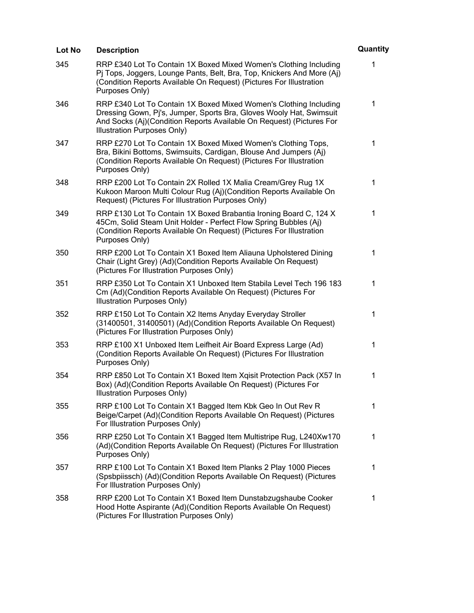| Lot No | <b>Description</b>                                                                                                                                                                                                                              | Quantity |
|--------|-------------------------------------------------------------------------------------------------------------------------------------------------------------------------------------------------------------------------------------------------|----------|
| 345    | RRP £340 Lot To Contain 1X Boxed Mixed Women's Clothing Including<br>Pj Tops, Joggers, Lounge Pants, Belt, Bra, Top, Knickers And More (Aj)<br>(Condition Reports Available On Request) (Pictures For Illustration<br>Purposes Only)            | 1        |
| 346    | RRP £340 Lot To Contain 1X Boxed Mixed Women's Clothing Including<br>Dressing Gown, Pj's, Jumper, Sports Bra, Gloves Wooly Hat, Swimsuit<br>And Socks (Aj)(Condition Reports Available On Request) (Pictures For<br>Illustration Purposes Only) | 1        |
| 347    | RRP £270 Lot To Contain 1X Boxed Mixed Women's Clothing Tops,<br>Bra, Bikini Bottoms, Swimsuits, Cardigan, Blouse And Jumpers (Aj)<br>(Condition Reports Available On Request) (Pictures For Illustration<br>Purposes Only)                     | 1        |
| 348    | RRP £200 Lot To Contain 2X Rolled 1X Malia Cream/Grey Rug 1X<br>Kukoon Maroon Multi Colour Rug (Aj)(Condition Reports Available On<br>Request) (Pictures For Illustration Purposes Only)                                                        | 1        |
| 349    | RRP £130 Lot To Contain 1X Boxed Brabantia Ironing Board C, 124 X<br>45Cm, Solid Steam Unit Holder - Perfect Flow Spring Bubbles (Aj)<br>(Condition Reports Available On Request) (Pictures For Illustration<br>Purposes Only)                  | 1        |
| 350    | RRP £200 Lot To Contain X1 Boxed Item Aliauna Upholstered Dining<br>Chair (Light Grey) (Ad)(Condition Reports Available On Request)<br>(Pictures For Illustration Purposes Only)                                                                | 1        |
| 351    | RRP £350 Lot To Contain X1 Unboxed Item Stabila Level Tech 196 183<br>Cm (Ad)(Condition Reports Available On Request) (Pictures For<br>Illustration Purposes Only)                                                                              | 1        |
| 352    | RRP £150 Lot To Contain X2 Items Anyday Everyday Stroller<br>(31400501, 31400501) (Ad)(Condition Reports Available On Request)<br>(Pictures For Illustration Purposes Only)                                                                     | 1        |
| 353    | RRP £100 X1 Unboxed Item Leifheit Air Board Express Large (Ad)<br>(Condition Reports Available On Request) (Pictures For Illustration<br>Purposes Only)                                                                                         | 1        |
| 354    | RRP £850 Lot To Contain X1 Boxed Item Xgisit Protection Pack (X57 In<br>Box) (Ad)(Condition Reports Available On Request) (Pictures For<br>Illustration Purposes Only)                                                                          | 1        |
| 355    | RRP £100 Lot To Contain X1 Bagged Item Kbk Geo In Out Rev R<br>Beige/Carpet (Ad)(Condition Reports Available On Request) (Pictures<br>For Illustration Purposes Only)                                                                           | 1        |
| 356    | RRP £250 Lot To Contain X1 Bagged Item Multistripe Rug, L240Xw170<br>(Ad)(Condition Reports Available On Request) (Pictures For Illustration<br>Purposes Only)                                                                                  | 1        |
| 357    | RRP £100 Lot To Contain X1 Boxed Item Planks 2 Play 1000 Pieces<br>(Spsbpiissch) (Ad)(Condition Reports Available On Request) (Pictures<br>For Illustration Purposes Only)                                                                      | 1        |
| 358    | RRP £200 Lot To Contain X1 Boxed Item Dunstabzugshaube Cooker<br>Hood Hotte Aspirante (Ad)(Condition Reports Available On Request)<br>(Pictures For Illustration Purposes Only)                                                                 | 1        |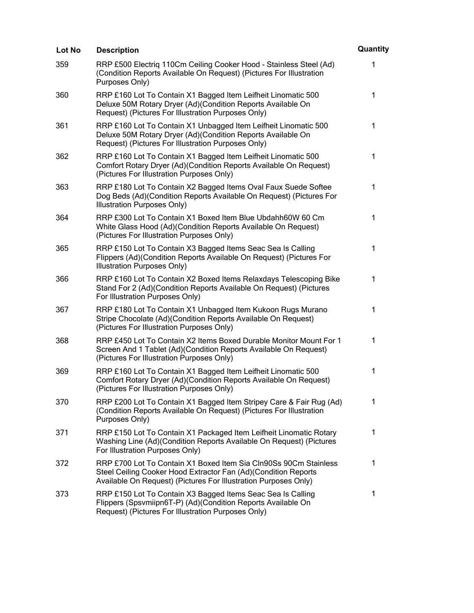| Lot No | <b>Description</b>                                                                                                                                                                                    | Quantity    |
|--------|-------------------------------------------------------------------------------------------------------------------------------------------------------------------------------------------------------|-------------|
| 359    | RRP £500 Electriq 110Cm Ceiling Cooker Hood - Stainless Steel (Ad)<br>(Condition Reports Available On Request) (Pictures For Illustration<br>Purposes Only)                                           | 1           |
| 360    | RRP £160 Lot To Contain X1 Bagged Item Leifheit Linomatic 500<br>Deluxe 50M Rotary Dryer (Ad)(Condition Reports Available On<br>Request) (Pictures For Illustration Purposes Only)                    | $\mathbf 1$ |
| 361    | RRP £160 Lot To Contain X1 Unbagged Item Leifheit Linomatic 500<br>Deluxe 50M Rotary Dryer (Ad)(Condition Reports Available On<br>Request) (Pictures For Illustration Purposes Only)                  | 1           |
| 362    | RRP £160 Lot To Contain X1 Bagged Item Leifheit Linomatic 500<br>Comfort Rotary Dryer (Ad)(Condition Reports Available On Request)<br>(Pictures For Illustration Purposes Only)                       | 1           |
| 363    | RRP £180 Lot To Contain X2 Bagged Items Oval Faux Suede Softee<br>Dog Beds (Ad)(Condition Reports Available On Request) (Pictures For<br>Illustration Purposes Only)                                  | 1           |
| 364    | RRP £300 Lot To Contain X1 Boxed Item Blue Ubdahh60W 60 Cm<br>White Glass Hood (Ad)(Condition Reports Available On Request)<br>(Pictures For Illustration Purposes Only)                              | 1           |
| 365    | RRP £150 Lot To Contain X3 Bagged Items Seac Sea Is Calling<br>Flippers (Ad)(Condition Reports Available On Request) (Pictures For<br>Illustration Purposes Only)                                     | 1           |
| 366    | RRP £160 Lot To Contain X2 Boxed Items Relaxdays Telescoping Bike<br>Stand For 2 (Ad)(Condition Reports Available On Request) (Pictures<br>For Illustration Purposes Only)                            | 1           |
| 367    | RRP £180 Lot To Contain X1 Unbagged Item Kukoon Rugs Murano<br>Stripe Chocolate (Ad)(Condition Reports Available On Request)<br>(Pictures For Illustration Purposes Only)                             | 1           |
| 368    | RRP £450 Lot To Contain X2 Items Boxed Durable Monitor Mount For 1<br>Screen And 1 Tablet (Ad)(Condition Reports Available On Request)<br>(Pictures For Illustration Purposes Only)                   | 1           |
| 369    | RRP £160 Lot To Contain X1 Bagged Item Leifheit Linomatic 500<br>Comfort Rotary Dryer (Ad)(Condition Reports Available On Request)<br>(Pictures For Illustration Purposes Only)                       | 1           |
| 370    | RRP £200 Lot To Contain X1 Bagged Item Stripey Care & Fair Rug (Ad)<br>(Condition Reports Available On Request) (Pictures For Illustration<br>Purposes Only)                                          | $\mathbf 1$ |
| 371    | RRP £150 Lot To Contain X1 Packaged Item Leifheit Linomatic Rotary<br>Washing Line (Ad)(Condition Reports Available On Request) (Pictures<br>For Illustration Purposes Only)                          | 1           |
| 372    | RRP £700 Lot To Contain X1 Boxed Item Sia CIn90Ss 90Cm Stainless<br>Steel Ceiling Cooker Hood Extractor Fan (Ad)(Condition Reports<br>Available On Request) (Pictures For Illustration Purposes Only) | $\mathbf 1$ |
| 373    | RRP £150 Lot To Contain X3 Bagged Items Seac Sea Is Calling<br>Flippers (Spsvmiipn6T-P) (Ad)(Condition Reports Available On<br>Request) (Pictures For Illustration Purposes Only)                     | 1           |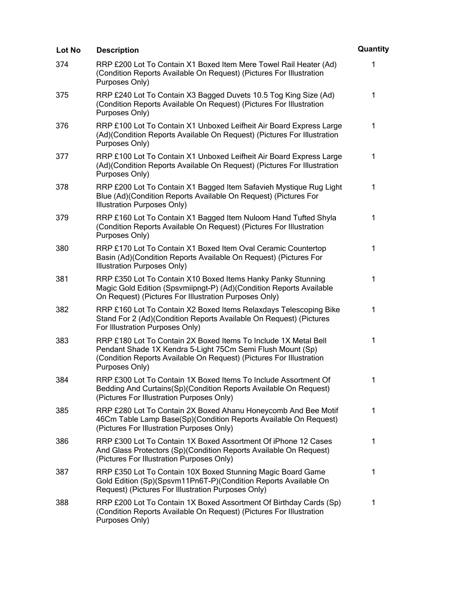| Lot No | <b>Description</b>                                                                                                                                                                                                     | Quantity    |
|--------|------------------------------------------------------------------------------------------------------------------------------------------------------------------------------------------------------------------------|-------------|
| 374    | RRP £200 Lot To Contain X1 Boxed Item Mere Towel Rail Heater (Ad)<br>(Condition Reports Available On Request) (Pictures For Illustration<br>Purposes Only)                                                             | 1           |
| 375    | RRP £240 Lot To Contain X3 Bagged Duvets 10.5 Tog King Size (Ad)<br>(Condition Reports Available On Request) (Pictures For Illustration<br>Purposes Only)                                                              | 1           |
| 376    | RRP £100 Lot To Contain X1 Unboxed Leifheit Air Board Express Large<br>(Ad)(Condition Reports Available On Request) (Pictures For Illustration<br>Purposes Only)                                                       | $\mathbf 1$ |
| 377    | RRP £100 Lot To Contain X1 Unboxed Leifheit Air Board Express Large<br>(Ad)(Condition Reports Available On Request) (Pictures For Illustration<br>Purposes Only)                                                       | $\mathbf 1$ |
| 378    | RRP £200 Lot To Contain X1 Bagged Item Safavieh Mystique Rug Light<br>Blue (Ad)(Condition Reports Available On Request) (Pictures For<br>Illustration Purposes Only)                                                   | 1           |
| 379    | RRP £160 Lot To Contain X1 Bagged Item Nuloom Hand Tufted Shyla<br>(Condition Reports Available On Request) (Pictures For Illustration<br>Purposes Only)                                                               | 1           |
| 380    | RRP £170 Lot To Contain X1 Boxed Item Oval Ceramic Countertop<br>Basin (Ad)(Condition Reports Available On Request) (Pictures For<br>Illustration Purposes Only)                                                       | 1           |
| 381    | RRP £350 Lot To Contain X10 Boxed Items Hanky Panky Stunning<br>Magic Gold Edition (Spsvmiipngt-P) (Ad)(Condition Reports Available<br>On Request) (Pictures For Illustration Purposes Only)                           | 1           |
| 382    | RRP £160 Lot To Contain X2 Boxed Items Relaxdays Telescoping Bike<br>Stand For 2 (Ad)(Condition Reports Available On Request) (Pictures<br>For Illustration Purposes Only)                                             | 1           |
| 383    | RRP £180 Lot To Contain 2X Boxed Items To Include 1X Metal Bell<br>Pendant Shade 1X Kendra 5-Light 75Cm Semi Flush Mount (Sp)<br>(Condition Reports Available On Request) (Pictures For Illustration<br>Purposes Only) | 1           |
| 384    | RRP £300 Lot To Contain 1X Boxed Items To Include Assortment Of<br>Bedding And Curtains(Sp)(Condition Reports Available On Request)<br>(Pictures For Illustration Purposes Only)                                       | 1           |
| 385    | RRP £280 Lot To Contain 2X Boxed Ahanu Honeycomb And Bee Motif<br>46Cm Table Lamp Base(Sp)(Condition Reports Available On Request)<br>(Pictures For Illustration Purposes Only)                                        | 1           |
| 386    | RRP £300 Lot To Contain 1X Boxed Assortment Of iPhone 12 Cases<br>And Glass Protectors (Sp)(Condition Reports Available On Request)<br>(Pictures For Illustration Purposes Only)                                       | 1           |
| 387    | RRP £350 Lot To Contain 10X Boxed Stunning Magic Board Game<br>Gold Edition (Sp)(Spsvm11Pn6T-P)(Condition Reports Available On<br>Request) (Pictures For Illustration Purposes Only)                                   | 1           |
| 388    | RRP £200 Lot To Contain 1X Boxed Assortment Of Birthday Cards (Sp)<br>(Condition Reports Available On Request) (Pictures For Illustration<br>Purposes Only)                                                            | 1           |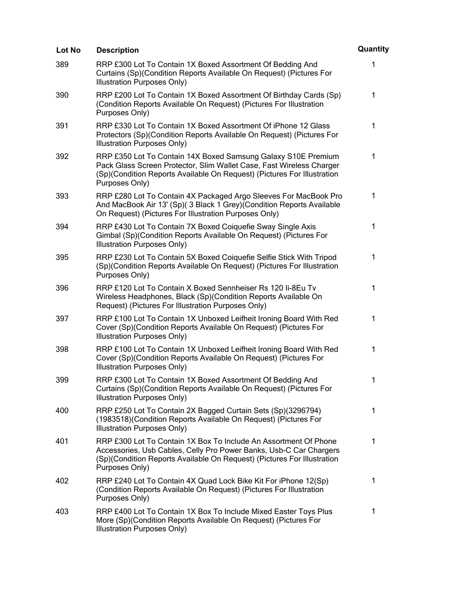| Lot No | <b>Description</b>                                                                                                                                                                                                                  | Quantity     |
|--------|-------------------------------------------------------------------------------------------------------------------------------------------------------------------------------------------------------------------------------------|--------------|
| 389    | RRP £300 Lot To Contain 1X Boxed Assortment Of Bedding And<br>Curtains (Sp)(Condition Reports Available On Request) (Pictures For<br>Illustration Purposes Only)                                                                    | 1            |
| 390    | RRP £200 Lot To Contain 1X Boxed Assortment Of Birthday Cards (Sp)<br>(Condition Reports Available On Request) (Pictures For Illustration<br>Purposes Only)                                                                         | $\mathbf 1$  |
| 391    | RRP £330 Lot To Contain 1X Boxed Assortment Of iPhone 12 Glass<br>Protectors (Sp)(Condition Reports Available On Request) (Pictures For<br>Illustration Purposes Only)                                                              | 1            |
| 392    | RRP £350 Lot To Contain 14X Boxed Samsung Galaxy S10E Premium<br>Pack Glass Screen Protector, Slim Wallet Case, Fast Wireless Charger<br>(Sp)(Condition Reports Available On Request) (Pictures For Illustration<br>Purposes Only)  | $\mathbf{1}$ |
| 393    | RRP £280 Lot To Contain 4X Packaged Argo Sleeves For MacBook Pro<br>And MacBook Air 13' (Sp)( 3 Black 1 Grey) (Condition Reports Available<br>On Request) (Pictures For Illustration Purposes Only)                                 | 1            |
| 394    | RRP £430 Lot To Contain 7X Boxed Coiquefie Sway Single Axis<br>Gimbal (Sp)(Condition Reports Available On Request) (Pictures For<br>Illustration Purposes Only)                                                                     | 1            |
| 395    | RRP £230 Lot To Contain 5X Boxed Coiquefie Selfie Stick With Tripod<br>(Sp)(Condition Reports Available On Request) (Pictures For Illustration<br>Purposes Only)                                                                    | 1            |
| 396    | RRP £120 Lot To Contain X Boxed Sennheiser Rs 120 li-8Eu Tv<br>Wireless Headphones, Black (Sp)(Condition Reports Available On<br>Request) (Pictures For Illustration Purposes Only)                                                 | 1            |
| 397    | RRP £100 Lot To Contain 1X Unboxed Leifheit Ironing Board With Red<br>Cover (Sp)(Condition Reports Available On Request) (Pictures For<br>Illustration Purposes Only)                                                               | 1            |
| 398    | RRP £100 Lot To Contain 1X Unboxed Leifheit Ironing Board With Red<br>Cover (Sp)(Condition Reports Available On Request) (Pictures For<br>Illustration Purposes Only)                                                               | 1            |
| 399    | RRP £300 Lot To Contain 1X Boxed Assortment Of Bedding And<br>Curtains (Sp)(Condition Reports Available On Request) (Pictures For<br>Illustration Purposes Only)                                                                    | 1            |
| 400    | RRP £250 Lot To Contain 2X Bagged Curtain Sets (Sp)(3296794)<br>(1983518) (Condition Reports Available On Request) (Pictures For<br>Illustration Purposes Only)                                                                     | $\mathbf 1$  |
| 401    | RRP £300 Lot To Contain 1X Box To Include An Assortment Of Phone<br>Accessories, Usb Cables, Celly Pro Power Banks, Usb-C Car Chargers<br>(Sp)(Condition Reports Available On Request) (Pictures For Illustration<br>Purposes Only) | 1            |
| 402    | RRP £240 Lot To Contain 4X Quad Lock Bike Kit For iPhone 12(Sp)<br>(Condition Reports Available On Request) (Pictures For Illustration<br>Purposes Only)                                                                            | 1            |
| 403    | RRP £400 Lot To Contain 1X Box To Include Mixed Easter Toys Plus<br>More (Sp)(Condition Reports Available On Request) (Pictures For<br>Illustration Purposes Only)                                                                  | 1            |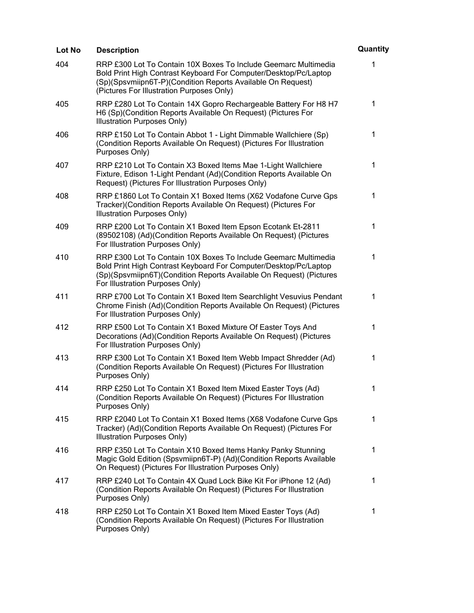| Lot No | <b>Description</b>                                                                                                                                                                                                                              | Quantity    |
|--------|-------------------------------------------------------------------------------------------------------------------------------------------------------------------------------------------------------------------------------------------------|-------------|
| 404    | RRP £300 Lot To Contain 10X Boxes To Include Geemarc Multimedia<br>Bold Print High Contrast Keyboard For Computer/Desktop/Pc/Laptop<br>(Sp)(Spsvmiipn6T-P)(Condition Reports Available On Request)<br>(Pictures For Illustration Purposes Only) | 1           |
| 405    | RRP £280 Lot To Contain 14X Gopro Rechargeable Battery For H8 H7<br>H6 (Sp)(Condition Reports Available On Request) (Pictures For<br>Illustration Purposes Only)                                                                                | $\mathbf 1$ |
| 406    | RRP £150 Lot To Contain Abbot 1 - Light Dimmable Wallchiere (Sp)<br>(Condition Reports Available On Request) (Pictures For Illustration<br>Purposes Only)                                                                                       | 1           |
| 407    | RRP £210 Lot To Contain X3 Boxed Items Mae 1-Light Wallchiere<br>Fixture, Edison 1-Light Pendant (Ad)(Condition Reports Available On<br>Request) (Pictures For Illustration Purposes Only)                                                      | 1           |
| 408    | RRP £1860 Lot To Contain X1 Boxed Items (X62 Vodafone Curve Gps<br>Tracker)(Condition Reports Available On Request) (Pictures For<br>Illustration Purposes Only)                                                                                | 1           |
| 409    | RRP £200 Lot To Contain X1 Boxed Item Epson Ecotank Et-2811<br>(89502108) (Ad)(Condition Reports Available On Request) (Pictures<br>For Illustration Purposes Only)                                                                             | 1           |
| 410    | RRP £300 Lot To Contain 10X Boxes To Include Geemarc Multimedia<br>Bold Print High Contrast Keyboard For Computer/Desktop/Pc/Laptop<br>(Sp)(Spsvmiipn6T)(Condition Reports Available On Request) (Pictures<br>For Illustration Purposes Only)   | 1           |
| 411    | RRP £700 Lot To Contain X1 Boxed Item Searchlight Vesuvius Pendant<br>Chrome Finish (Ad)(Condition Reports Available On Request) (Pictures<br>For Illustration Purposes Only)                                                                   | 1           |
| 412    | RRP £500 Lot To Contain X1 Boxed Mixture Of Easter Toys And<br>Decorations (Ad)(Condition Reports Available On Request) (Pictures<br>For Illustration Purposes Only)                                                                            | 1           |
| 413    | RRP £300 Lot To Contain X1 Boxed Item Webb Impact Shredder (Ad)<br>(Condition Reports Available On Request) (Pictures For Illustration<br>Purposes Only)                                                                                        | 1           |
| 414    | RRP £250 Lot To Contain X1 Boxed Item Mixed Easter Toys (Ad)<br>(Condition Reports Available On Request) (Pictures For Illustration<br>Purposes Only)                                                                                           | 1           |
| 415    | RRP £2040 Lot To Contain X1 Boxed Items (X68 Vodafone Curve Gps<br>Tracker) (Ad)(Condition Reports Available On Request) (Pictures For<br>Illustration Purposes Only)                                                                           | 1           |
| 416    | RRP £350 Lot To Contain X10 Boxed Items Hanky Panky Stunning<br>Magic Gold Edition (Spsvmiipn6T-P) (Ad)(Condition Reports Available<br>On Request) (Pictures For Illustration Purposes Only)                                                    | 1           |
| 417    | RRP £240 Lot To Contain 4X Quad Lock Bike Kit For iPhone 12 (Ad)<br>(Condition Reports Available On Request) (Pictures For Illustration<br>Purposes Only)                                                                                       | $\mathbf 1$ |
| 418    | RRP £250 Lot To Contain X1 Boxed Item Mixed Easter Toys (Ad)<br>(Condition Reports Available On Request) (Pictures For Illustration<br>Purposes Only)                                                                                           | 1           |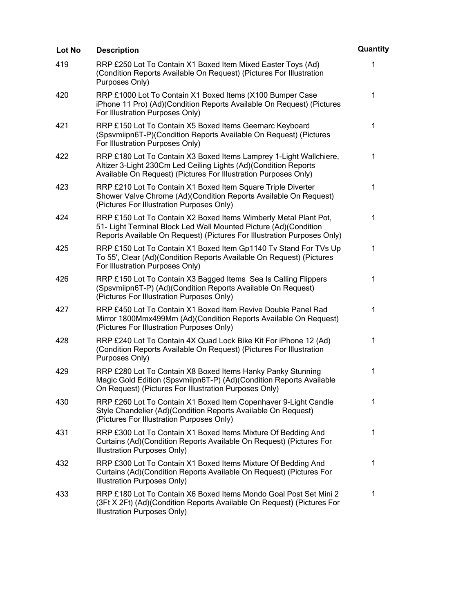| Lot No | <b>Description</b>                                                                                                                                                                                              | Quantity    |
|--------|-----------------------------------------------------------------------------------------------------------------------------------------------------------------------------------------------------------------|-------------|
| 419    | RRP £250 Lot To Contain X1 Boxed Item Mixed Easter Toys (Ad)<br>(Condition Reports Available On Request) (Pictures For Illustration<br>Purposes Only)                                                           | 1           |
| 420    | RRP £1000 Lot To Contain X1 Boxed Items (X100 Bumper Case<br>iPhone 11 Pro) (Ad)(Condition Reports Available On Request) (Pictures<br>For Illustration Purposes Only)                                           | $\mathbf 1$ |
| 421    | RRP £150 Lot To Contain X5 Boxed Items Geemarc Keyboard<br>(Spsvmiipn6T-P)(Condition Reports Available On Request) (Pictures<br>For Illustration Purposes Only)                                                 | $\mathbf 1$ |
| 422    | RRP £180 Lot To Contain X3 Boxed Items Lamprey 1-Light Wallchiere,<br>Altizer 3-Light 230Cm Led Ceiling Lights (Ad)(Condition Reports<br>Available On Request) (Pictures For Illustration Purposes Only)        | 1           |
| 423    | RRP £210 Lot To Contain X1 Boxed Item Square Triple Diverter<br>Shower Valve Chrome (Ad)(Condition Reports Available On Request)<br>(Pictures For Illustration Purposes Only)                                   | 1           |
| 424    | RRP £150 Lot To Contain X2 Boxed Items Wimberly Metal Plant Pot,<br>51- Light Terminal Block Led Wall Mounted Picture (Ad)(Condition<br>Reports Available On Request) (Pictures For Illustration Purposes Only) | 1           |
| 425    | RRP £150 Lot To Contain X1 Boxed Item Gp1140 Tv Stand For TVs Up<br>To 55', Clear (Ad)(Condition Reports Available On Request) (Pictures<br>For Illustration Purposes Only)                                     | 1           |
| 426    | RRP £150 Lot To Contain X3 Bagged Items Sea Is Calling Flippers<br>(Spsvmiipn6T-P) (Ad)(Condition Reports Available On Request)<br>(Pictures For Illustration Purposes Only)                                    | 1           |
| 427    | RRP £450 Lot To Contain X1 Boxed Item Revive Double Panel Rad<br>Mirror 1800Mmx499Mm (Ad)(Condition Reports Available On Request)<br>(Pictures For Illustration Purposes Only)                                  | 1           |
| 428    | RRP £240 Lot To Contain 4X Quad Lock Bike Kit For iPhone 12 (Ad)<br>(Condition Reports Available On Request) (Pictures For Illustration<br>Purposes Only)                                                       | 1           |
| 429    | RRP £280 Lot To Contain X8 Boxed Items Hanky Panky Stunning<br>Magic Gold Edition (Spsvmiipn6T-P) (Ad)(Condition Reports Available<br>On Request) (Pictures For Illustration Purposes Only)                     | 1           |
| 430    | RRP £260 Lot To Contain X1 Boxed Item Copenhaver 9-Light Candle<br>Style Chandelier (Ad)(Condition Reports Available On Request)<br>(Pictures For Illustration Purposes Only)                                   | $\mathbf 1$ |
| 431    | RRP £300 Lot To Contain X1 Boxed Items Mixture Of Bedding And<br>Curtains (Ad)(Condition Reports Available On Request) (Pictures For<br>Illustration Purposes Only)                                             | 1           |
| 432    | RRP £300 Lot To Contain X1 Boxed Items Mixture Of Bedding And<br>Curtains (Ad)(Condition Reports Available On Request) (Pictures For<br>Illustration Purposes Only)                                             | $\mathbf 1$ |
| 433    | RRP £180 Lot To Contain X6 Boxed Items Mondo Goal Post Set Mini 2<br>(3Ft X 2Ft) (Ad)(Condition Reports Available On Request) (Pictures For<br>Illustration Purposes Only)                                      | 1           |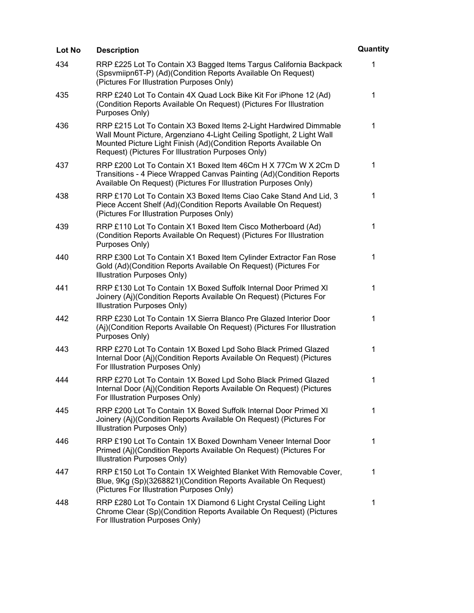| Lot No | <b>Description</b>                                                                                                                                                                                                                                                    | Quantity     |
|--------|-----------------------------------------------------------------------------------------------------------------------------------------------------------------------------------------------------------------------------------------------------------------------|--------------|
| 434    | RRP £225 Lot To Contain X3 Bagged Items Targus California Backpack<br>(Spsvmiipn6T-P) (Ad)(Condition Reports Available On Request)<br>(Pictures For Illustration Purposes Only)                                                                                       | 1            |
| 435    | RRP £240 Lot To Contain 4X Quad Lock Bike Kit For iPhone 12 (Ad)<br>(Condition Reports Available On Request) (Pictures For Illustration<br>Purposes Only)                                                                                                             | 1            |
| 436    | RRP £215 Lot To Contain X3 Boxed Items 2-Light Hardwired Dimmable<br>Wall Mount Picture, Argenziano 4-Light Ceiling Spotlight, 2 Light Wall<br>Mounted Picture Light Finish (Ad)(Condition Reports Available On<br>Request) (Pictures For Illustration Purposes Only) | $\mathbf{1}$ |
| 437    | RRP £200 Lot To Contain X1 Boxed Item 46Cm H X 77Cm W X 2Cm D<br>Transitions - 4 Piece Wrapped Canvas Painting (Ad) (Condition Reports<br>Available On Request) (Pictures For Illustration Purposes Only)                                                             | 1            |
| 438    | RRP £170 Lot To Contain X3 Boxed Items Ciao Cake Stand And Lid, 3<br>Piece Accent Shelf (Ad)(Condition Reports Available On Request)<br>(Pictures For Illustration Purposes Only)                                                                                     | 1            |
| 439    | RRP £110 Lot To Contain X1 Boxed Item Cisco Motherboard (Ad)<br>(Condition Reports Available On Request) (Pictures For Illustration<br>Purposes Only)                                                                                                                 | 1            |
| 440    | RRP £300 Lot To Contain X1 Boxed Item Cylinder Extractor Fan Rose<br>Gold (Ad)(Condition Reports Available On Request) (Pictures For<br>Illustration Purposes Only)                                                                                                   | 1            |
| 441    | RRP £130 Lot To Contain 1X Boxed Suffolk Internal Door Primed XI<br>Joinery (Aj)(Condition Reports Available On Request) (Pictures For<br>Illustration Purposes Only)                                                                                                 | 1            |
| 442    | RRP £230 Lot To Contain 1X Sierra Blanco Pre Glazed Interior Door<br>(Aj)(Condition Reports Available On Request) (Pictures For Illustration<br>Purposes Only)                                                                                                        | 1            |
| 443    | RRP £270 Lot To Contain 1X Boxed Lpd Soho Black Primed Glazed<br>Internal Door (Aj)(Condition Reports Available On Request) (Pictures<br>For Illustration Purposes Only)                                                                                              | 1            |
| 444    | RRP £270 Lot To Contain 1X Boxed Lpd Soho Black Primed Glazed<br>Internal Door (Aj)(Condition Reports Available On Request) (Pictures<br>For Illustration Purposes Only)                                                                                              | 1            |
| 445    | RRP £200 Lot To Contain 1X Boxed Suffolk Internal Door Primed XI<br>Joinery (Aj)(Condition Reports Available On Request) (Pictures For<br>Illustration Purposes Only)                                                                                                 | 1            |
| 446    | RRP £190 Lot To Contain 1X Boxed Downham Veneer Internal Door<br>Primed (Aj)(Condition Reports Available On Request) (Pictures For<br>Illustration Purposes Only)                                                                                                     | 1            |
| 447    | RRP £150 Lot To Contain 1X Weighted Blanket With Removable Cover,<br>Blue, 9Kg (Sp)(3268821)(Condition Reports Available On Request)<br>(Pictures For Illustration Purposes Only)                                                                                     | 1            |
| 448    | RRP £280 Lot To Contain 1X Diamond 6 Light Crystal Ceiling Light<br>Chrome Clear (Sp)(Condition Reports Available On Request) (Pictures<br>For Illustration Purposes Only)                                                                                            | 1            |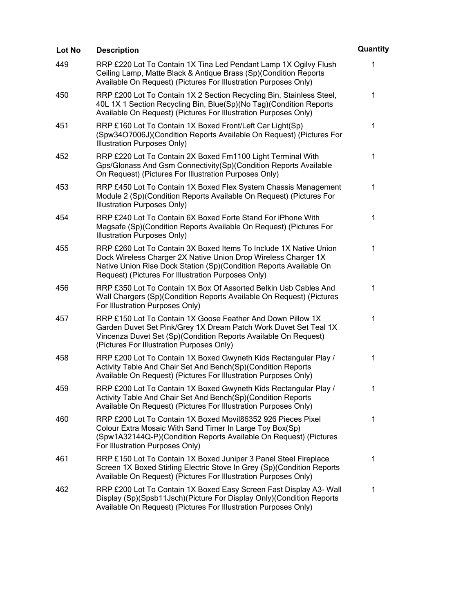| Lot No | <b>Description</b>                                                                                                                                                                                                                                              | Quantity    |
|--------|-----------------------------------------------------------------------------------------------------------------------------------------------------------------------------------------------------------------------------------------------------------------|-------------|
| 449    | RRP £220 Lot To Contain 1X Tina Led Pendant Lamp 1X Ogilvy Flush<br>Ceiling Lamp, Matte Black & Antique Brass (Sp)(Condition Reports<br>Available On Request) (Pictures For Illustration Purposes Only)                                                         | 1           |
| 450    | RRP £200 Lot To Contain 1X 2 Section Recycling Bin, Stainless Steel,<br>40L 1X 1 Section Recycling Bin, Blue(Sp)(No Tag)(Condition Reports<br>Available On Request) (Pictures For Illustration Purposes Only)                                                   | 1           |
| 451    | RRP £160 Lot To Contain 1X Boxed Front/Left Car Light(Sp)<br>(Spw34O7006J)(Condition Reports Available On Request) (Pictures For<br>Illustration Purposes Only)                                                                                                 | $\mathbf 1$ |
| 452    | RRP £220 Lot To Contain 2X Boxed Fm1100 Light Terminal With<br>Gps/Glonass And Gsm Connectivity(Sp)(Condition Reports Available<br>On Request) (Pictures For Illustration Purposes Only)                                                                        | 1           |
| 453    | RRP £450 Lot To Contain 1X Boxed Flex System Chassis Management<br>Module 2 (Sp)(Condition Reports Available On Request) (Pictures For<br>Illustration Purposes Only)                                                                                           | 1           |
| 454    | RRP £240 Lot To Contain 6X Boxed Forte Stand For iPhone With<br>Magsafe (Sp)(Condition Reports Available On Request) (Pictures For<br>Illustration Purposes Only)                                                                                               | 1           |
| 455    | RRP £260 Lot To Contain 3X Boxed Items To Include 1X Native Union<br>Dock Wireless Charger 2X Native Union Drop Wireless Charger 1X<br>Native Union Rise Dock Station (Sp)(Condition Reports Available On<br>Request) (Pictures For Illustration Purposes Only) | 1           |
| 456    | RRP £350 Lot To Contain 1X Box Of Assorted Belkin Usb Cables And<br>Wall Chargers (Sp)(Condition Reports Available On Request) (Pictures<br>For Illustration Purposes Only)                                                                                     | 1           |
| 457    | RRP £150 Lot To Contain 1X Goose Feather And Down Pillow 1X<br>Garden Duvet Set Pink/Grey 1X Dream Patch Work Duvet Set Teal 1X<br>Vincenza Duvet Set (Sp)(Condition Reports Available On Request)<br>(Pictures For Illustration Purposes Only)                 | 1           |
| 458    | RRP £200 Lot To Contain 1X Boxed Gwyneth Kids Rectangular Play /<br>Activity Table And Chair Set And Bench(Sp)(Condition Reports<br>Available On Request) (Pictures For Illustration Purposes Only)                                                             | 1           |
| 459    | RRP £200 Lot To Contain 1X Boxed Gwyneth Kids Rectangular Play /<br>Activity Table And Chair Set And Bench(Sp)(Condition Reports<br>Available On Request) (Pictures For Illustration Purposes Only)                                                             | 1           |
| 460    | RRP £200 Lot To Contain 1X Boxed Movil86352 926 Pieces Pixel<br>Colour Extra Mosaic With Sand Timer In Large Toy Box(Sp)<br>(Spw1A32144Q-P)(Condition Reports Available On Request) (Pictures<br>For Illustration Purposes Only)                                | 1           |
| 461    | RRP £150 Lot To Contain 1X Boxed Juniper 3 Panel Steel Fireplace<br>Screen 1X Boxed Stirling Electric Stove In Grey (Sp)(Condition Reports<br>Available On Request) (Pictures For Illustration Purposes Only)                                                   | $\mathbf 1$ |
| 462    | RRP £200 Lot To Contain 1X Boxed Easy Screen Fast Display A3- Wall<br>Display (Sp)(Spsb11Jsch)(Picture For Display Only)(Condition Reports<br>Available On Request) (Pictures For Illustration Purposes Only)                                                   | 1           |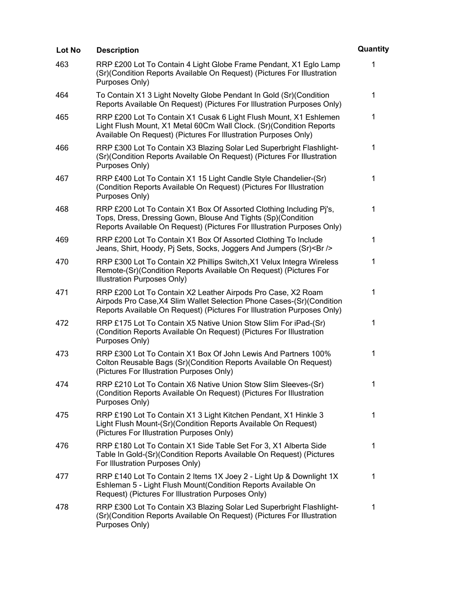| Lot No | <b>Description</b>                                                                                                                                                                                               | Quantity    |
|--------|------------------------------------------------------------------------------------------------------------------------------------------------------------------------------------------------------------------|-------------|
| 463    | RRP £200 Lot To Contain 4 Light Globe Frame Pendant, X1 Eglo Lamp<br>(Sr)(Condition Reports Available On Request) (Pictures For Illustration<br>Purposes Only)                                                   | 1           |
| 464    | To Contain X1 3 Light Novelty Globe Pendant In Gold (Sr) (Condition<br>Reports Available On Request) (Pictures For Illustration Purposes Only)                                                                   | $\mathbf 1$ |
| 465    | RRP £200 Lot To Contain X1 Cusak 6 Light Flush Mount, X1 Eshlemen<br>Light Flush Mount, X1 Metal 60Cm Wall Clock. (Sr)(Condition Reports<br>Available On Request) (Pictures For Illustration Purposes Only)      | 1           |
| 466    | RRP £300 Lot To Contain X3 Blazing Solar Led Superbright Flashlight-<br>(Sr)(Condition Reports Available On Request) (Pictures For Illustration<br>Purposes Only)                                                | $\mathbf 1$ |
| 467    | RRP £400 Lot To Contain X1 15 Light Candle Style Chandelier-(Sr)<br>(Condition Reports Available On Request) (Pictures For Illustration<br>Purposes Only)                                                        | 1           |
| 468    | RRP £200 Lot To Contain X1 Box Of Assorted Clothing Including Pj's,<br>Tops, Dress, Dressing Gown, Blouse And Tights (Sp)(Condition<br>Reports Available On Request) (Pictures For Illustration Purposes Only)   | 1           |
| 469    | RRP £200 Lot To Contain X1 Box Of Assorted Clothing To Include<br>Jeans, Shirt, Hoody, Pi Sets, Socks, Joggers And Jumpers (Sr)<br>>                                                                             | 1           |
| 470    | RRP £300 Lot To Contain X2 Phillips Switch, X1 Velux Integra Wireless<br>Remote-(Sr)(Condition Reports Available On Request) (Pictures For<br>Illustration Purposes Only)                                        | 1           |
| 471    | RRP £200 Lot To Contain X2 Leather Airpods Pro Case, X2 Roam<br>Airpods Pro Case, X4 Slim Wallet Selection Phone Cases-(Sr)(Condition<br>Reports Available On Request) (Pictures For Illustration Purposes Only) | 1           |
| 472    | RRP £175 Lot To Contain X5 Native Union Stow Slim For iPad-(Sr)<br>(Condition Reports Available On Request) (Pictures For Illustration<br>Purposes Only)                                                         | 1           |
| 473    | RRP £300 Lot To Contain X1 Box Of John Lewis And Partners 100%<br>Colton Reusable Bags (Sr)(Condition Reports Available On Request)<br>(Pictures For Illustration Purposes Only)                                 | 1           |
| 474    | RRP £210 Lot To Contain X6 Native Union Stow Slim Sleeves-(Sr)<br>(Condition Reports Available On Request) (Pictures For Illustration<br>Purposes Only)                                                          | 1           |
| 475    | RRP £190 Lot To Contain X1 3 Light Kitchen Pendant, X1 Hinkle 3<br>Light Flush Mount-(Sr)(Condition Reports Available On Request)<br>(Pictures For Illustration Purposes Only)                                   | 1           |
| 476    | RRP £180 Lot To Contain X1 Side Table Set For 3, X1 Alberta Side<br>Table In Gold-(Sr)(Condition Reports Available On Request) (Pictures<br>For Illustration Purposes Only)                                      | 1           |
| 477    | RRP £140 Lot To Contain 2 Items 1X Joey 2 - Light Up & Downlight 1X<br>Eshleman 5 - Light Flush Mount(Condition Reports Available On<br>Request) (Pictures For Illustration Purposes Only)                       | $\mathbf 1$ |
| 478    | RRP £300 Lot To Contain X3 Blazing Solar Led Superbright Flashlight-<br>(Sr)(Condition Reports Available On Request) (Pictures For Illustration<br>Purposes Only)                                                | 1           |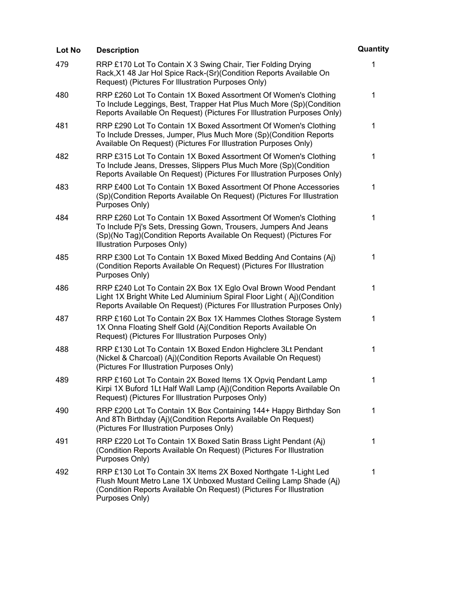| Lot No | <b>Description</b>                                                                                                                                                                                                                       | Quantity    |
|--------|------------------------------------------------------------------------------------------------------------------------------------------------------------------------------------------------------------------------------------------|-------------|
| 479    | RRP £170 Lot To Contain X 3 Swing Chair, Tier Folding Drying<br>Rack, X1 48 Jar Hol Spice Rack-(Sr) (Condition Reports Available On<br>Request) (Pictures For Illustration Purposes Only)                                                | 1           |
| 480    | RRP £260 Lot To Contain 1X Boxed Assortment Of Women's Clothing<br>To Include Leggings, Best, Trapper Hat Plus Much More (Sp) (Condition<br>Reports Available On Request) (Pictures For Illustration Purposes Only)                      | $\mathbf 1$ |
| 481    | RRP £290 Lot To Contain 1X Boxed Assortment Of Women's Clothing<br>To Include Dresses, Jumper, Plus Much More (Sp)(Condition Reports<br>Available On Request) (Pictures For Illustration Purposes Only)                                  | 1           |
| 482    | RRP £315 Lot To Contain 1X Boxed Assortment Of Women's Clothing<br>To Include Jeans, Dresses, Slippers Plus Much More (Sp)(Condition<br>Reports Available On Request) (Pictures For Illustration Purposes Only)                          | 1           |
| 483    | RRP £400 Lot To Contain 1X Boxed Assortment Of Phone Accessories<br>(Sp)(Condition Reports Available On Request) (Pictures For Illustration<br>Purposes Only)                                                                            | 1           |
| 484    | RRP £260 Lot To Contain 1X Boxed Assortment Of Women's Clothing<br>To Include Pj's Sets, Dressing Gown, Trousers, Jumpers And Jeans<br>(Sp)(No Tag)(Condition Reports Available On Request) (Pictures For<br>Illustration Purposes Only) | 1           |
| 485    | RRP £300 Lot To Contain 1X Boxed Mixed Bedding And Contains (Aj)<br>(Condition Reports Available On Request) (Pictures For Illustration<br>Purposes Only)                                                                                | 1           |
| 486    | RRP £240 Lot To Contain 2X Box 1X Eglo Oval Brown Wood Pendant<br>Light 1X Bright White Led Aluminium Spiral Floor Light (Aj)(Condition<br>Reports Available On Request) (Pictures For Illustration Purposes Only)                       | 1           |
| 487    | RRP £160 Lot To Contain 2X Box 1X Hammes Clothes Storage System<br>1X Onna Floating Shelf Gold (Aj(Condition Reports Available On<br>Request) (Pictures For Illustration Purposes Only)                                                  | 1           |
| 488    | RRP £130 Lot To Contain 1X Boxed Endon Highclere 3Lt Pendant<br>(Nickel & Charcoal) (Aj)(Condition Reports Available On Request)<br>(Pictures For Illustration Purposes Only)                                                            | 1           |
| 489    | RRP £160 Lot To Contain 2X Boxed Items 1X Opvig Pendant Lamp<br>Kirpi 1X Buford 1Lt Half Wall Lamp (Aj)(Condition Reports Available On<br>Request) (Pictures For Illustration Purposes Only)                                             | 1           |
| 490    | RRP £200 Lot To Contain 1X Box Containing 144+ Happy Birthday Son<br>And 8Th Birthday (Aj)(Condition Reports Available On Request)<br>(Pictures For Illustration Purposes Only)                                                          | $\mathbf 1$ |
| 491    | RRP £220 Lot To Contain 1X Boxed Satin Brass Light Pendant (Aj)<br>(Condition Reports Available On Request) (Pictures For Illustration<br>Purposes Only)                                                                                 | $\mathbf 1$ |
| 492    | RRP £130 Lot To Contain 3X Items 2X Boxed Northgate 1-Light Led<br>Flush Mount Metro Lane 1X Unboxed Mustard Ceiling Lamp Shade (Aj)<br>(Condition Reports Available On Request) (Pictures For Illustration<br>Purposes Only)            | 1           |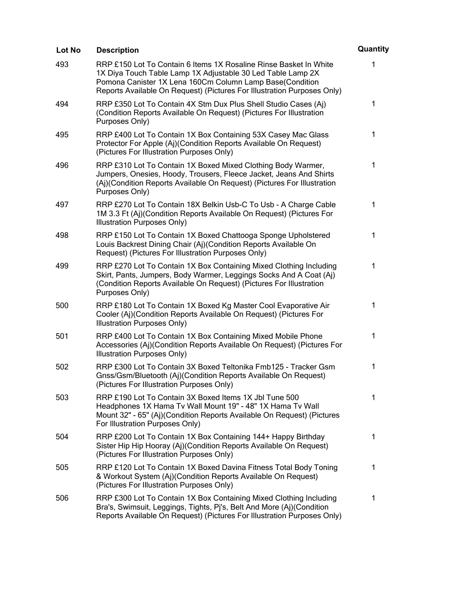| Lot No | <b>Description</b>                                                                                                                                                                                                                                                      | Quantity |
|--------|-------------------------------------------------------------------------------------------------------------------------------------------------------------------------------------------------------------------------------------------------------------------------|----------|
| 493    | RRP £150 Lot To Contain 6 Items 1X Rosaline Rinse Basket In White<br>1X Diya Touch Table Lamp 1X Adjustable 30 Led Table Lamp 2X<br>Pomona Canister 1X Lena 160Cm Column Lamp Base(Condition<br>Reports Available On Request) (Pictures For Illustration Purposes Only) | 1        |
| 494    | RRP £350 Lot To Contain 4X Stm Dux Plus Shell Studio Cases (Aj)<br>(Condition Reports Available On Request) (Pictures For Illustration<br>Purposes Only)                                                                                                                | 1        |
| 495    | RRP £400 Lot To Contain 1X Box Containing 53X Casey Mac Glass<br>Protector For Apple (Aj)(Condition Reports Available On Request)<br>(Pictures For Illustration Purposes Only)                                                                                          | 1        |
| 496    | RRP £310 Lot To Contain 1X Boxed Mixed Clothing Body Warmer,<br>Jumpers, Onesies, Hoody, Trousers, Fleece Jacket, Jeans And Shirts<br>(Aj)(Condition Reports Available On Request) (Pictures For Illustration<br>Purposes Only)                                         | 1        |
| 497    | RRP £270 Lot To Contain 18X Belkin Usb-C To Usb - A Charge Cable<br>1M 3.3 Ft (Aj)(Condition Reports Available On Request) (Pictures For<br>Illustration Purposes Only)                                                                                                 | 1        |
| 498    | RRP £150 Lot To Contain 1X Boxed Chattooga Sponge Upholstered<br>Louis Backrest Dining Chair (Aj)(Condition Reports Available On<br>Request) (Pictures For Illustration Purposes Only)                                                                                  | 1        |
| 499    | RRP £270 Lot To Contain 1X Box Containing Mixed Clothing Including<br>Skirt, Pants, Jumpers, Body Warmer, Leggings Socks And A Coat (Aj)<br>(Condition Reports Available On Request) (Pictures For Illustration<br>Purposes Only)                                       | 1        |
| 500    | RRP £180 Lot To Contain 1X Boxed Kg Master Cool Evaporative Air<br>Cooler (Aj)(Condition Reports Available On Request) (Pictures For<br>Illustration Purposes Only)                                                                                                     | 1        |
| 501    | RRP £400 Lot To Contain 1X Box Containing Mixed Mobile Phone<br>Accessories (Aj)(Condition Reports Available On Request) (Pictures For<br>Illustration Purposes Only)                                                                                                   | 1        |
| 502    | RRP £300 Lot To Contain 3X Boxed Teltonika Fmb125 - Tracker Gsm<br>Gnss/Gsm/Bluetooth (Aj)(Condition Reports Available On Request)<br>(Pictures For Illustration Purposes Only)                                                                                         | 1        |
| 503    | RRP £190 Lot To Contain 3X Boxed Items 1X Jbl Tune 500<br>Headphones 1X Hama Tv Wall Mount 19" - 48" 1X Hama Tv Wall<br>Mount 32" - 65" (Aj)(Condition Reports Available On Request) (Pictures<br>For Illustration Purposes Only)                                       | 1        |
| 504    | RRP £200 Lot To Contain 1X Box Containing 144+ Happy Birthday<br>Sister Hip Hip Hooray (Aj)(Condition Reports Available On Request)<br>(Pictures For Illustration Purposes Only)                                                                                        | 1        |
| 505    | RRP £120 Lot To Contain 1X Boxed Davina Fitness Total Body Toning<br>& Workout System (Aj)(Condition Reports Available On Request)<br>(Pictures For Illustration Purposes Only)                                                                                         | 1        |
| 506    | RRP £300 Lot To Contain 1X Box Containing Mixed Clothing Including<br>Bra's, Swimsuit, Leggings, Tights, Pj's, Belt And More (Aj)(Condition<br>Reports Available On Request) (Pictures For Illustration Purposes Only)                                                  | 1        |